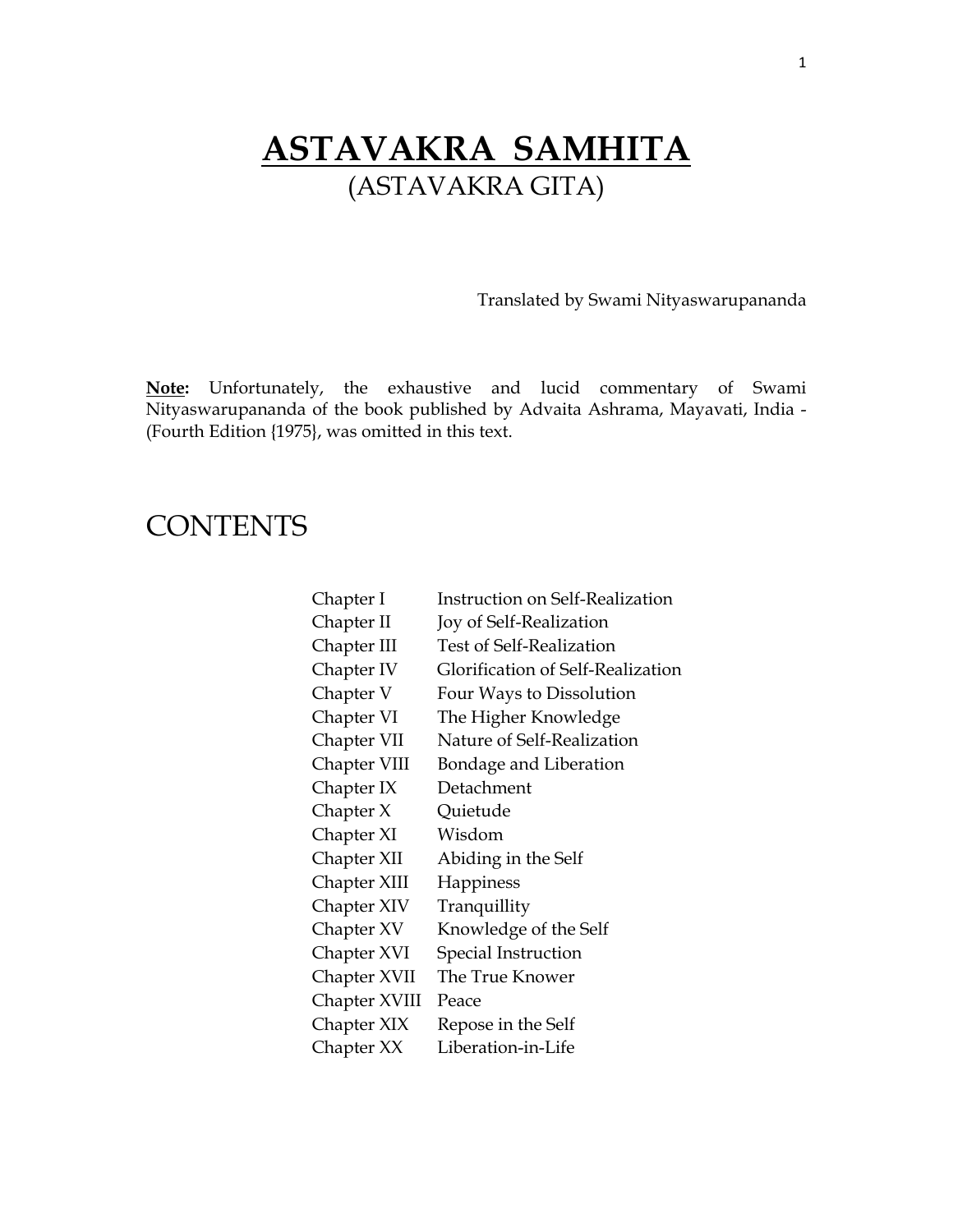## **ASTAVAKRA SAMHITA** (ASTAVAKRA GITA)

Translated by Swami Nityaswarupananda

**Note:** Unfortunately, the exhaustive and lucid commentary of Swami Nityaswarupananda of the book published by Advaita Ashrama, Mayavati, India - (Fourth Edition {1975}, was omitted in this text.

### **CONTENTS**

| Chapter I     | <b>Instruction on Self-Realization</b> |
|---------------|----------------------------------------|
| Chapter II    | Joy of Self-Realization                |
| Chapter III   | Test of Self-Realization               |
| Chapter IV    | Glorification of Self-Realization      |
| Chapter V     | Four Ways to Dissolution               |
| Chapter VI    | The Higher Knowledge                   |
| Chapter VII   | Nature of Self-Realization             |
| Chapter VIII  | Bondage and Liberation                 |
| Chapter IX    | Detachment                             |
| Chapter X     | Quietude                               |
| Chapter XI    | Wisdom                                 |
| Chapter XII   | Abiding in the Self                    |
| Chapter XIII  | Happiness                              |
| Chapter XIV   | Tranquillity                           |
| Chapter XV    | Knowledge of the Self                  |
| Chapter XVI   | Special Instruction                    |
| Chapter XVII  | The True Knower                        |
| Chapter XVIII | Peace                                  |
| Chapter XIX   | Repose in the Self                     |
| Chapter XX    | Liberation-in-Life                     |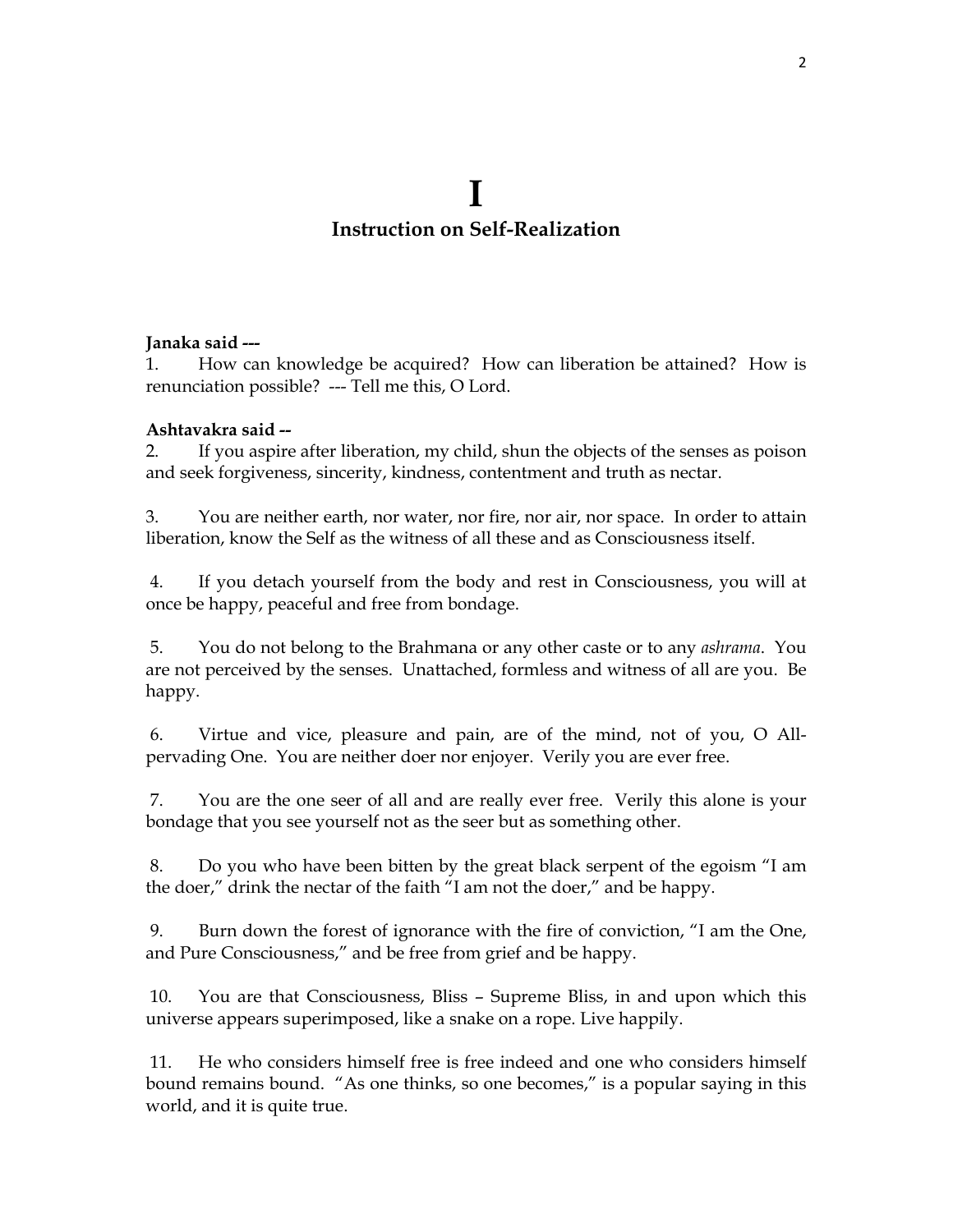### **Instruction on Self-Realization**

### **Janaka said ---**

1. How can knowledge be acquired? How can liberation be attained? How is renunciation possible? --- Tell me this, O Lord.

### **Ashtavakra said --**

2. If you aspire after liberation, my child, shun the objects of the senses as poison and seek forgiveness, sincerity, kindness, contentment and truth as nectar.

3. You are neither earth, nor water, nor fire, nor air, nor space. In order to attain liberation, know the Self as the witness of all these and as Consciousness itself.

 4. If you detach yourself from the body and rest in Consciousness, you will at once be happy, peaceful and free from bondage.

 5. You do not belong to the Brahmana or any other caste or to any *ashrama*. You are not perceived by the senses. Unattached, formless and witness of all are you. Be happy.

 6. Virtue and vice, pleasure and pain, are of the mind, not of you, O Allpervading One. You are neither doer nor enjoyer. Verily you are ever free.

 7. You are the one seer of all and are really ever free. Verily this alone is your bondage that you see yourself not as the seer but as something other.

 8. Do you who have been bitten by the great black serpent of the egoism "I am the doer," drink the nectar of the faith "I am not the doer," and be happy.

 9. Burn down the forest of ignorance with the fire of conviction, "I am the One, and Pure Consciousness," and be free from grief and be happy.

 10. You are that Consciousness, Bliss – Supreme Bliss, in and upon which this universe appears superimposed, like a snake on a rope. Live happily.

 11. He who considers himself free is free indeed and one who considers himself bound remains bound. "As one thinks, so one becomes," is a popular saying in this world, and it is quite true.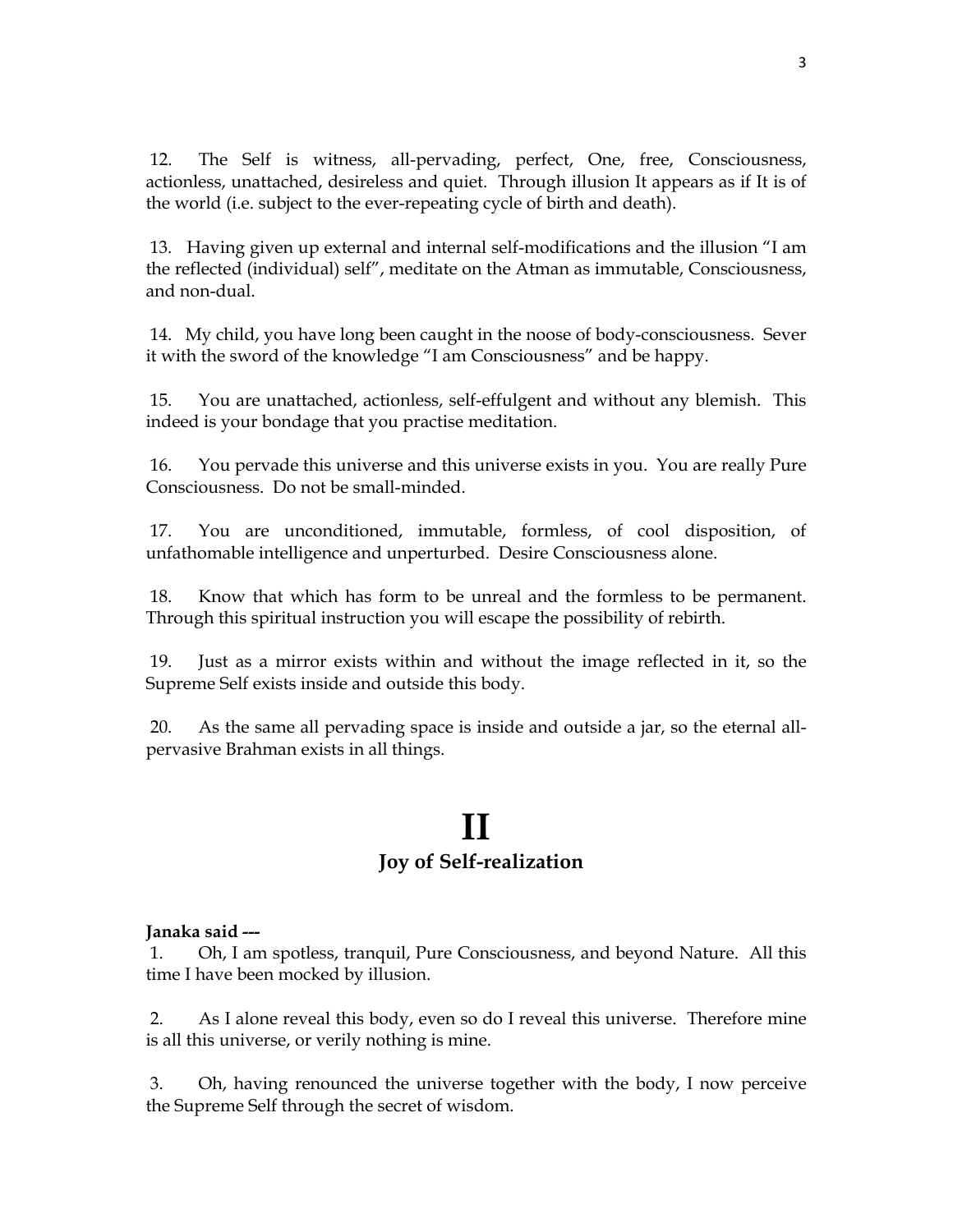12. The Self is witness, all-pervading, perfect, One, free, Consciousness, actionless, unattached, desireless and quiet. Through illusion It appears as if It is of the world (i.e. subject to the ever-repeating cycle of birth and death).

 13. Having given up external and internal self-modifications and the illusion "I am the reflected (individual) self", meditate on the Atman as immutable, Consciousness, and non-dual.

 14. My child, you have long been caught in the noose of body-consciousness. Sever it with the sword of the knowledge "I am Consciousness" and be happy.

 15. You are unattached, actionless, self-effulgent and without any blemish. This indeed is your bondage that you practise meditation.

 16. You pervade this universe and this universe exists in you. You are really Pure Consciousness. Do not be small-minded.

 17. You are unconditioned, immutable, formless, of cool disposition, of unfathomable intelligence and unperturbed. Desire Consciousness alone.

 18. Know that which has form to be unreal and the formless to be permanent. Through this spiritual instruction you will escape the possibility of rebirth.

 19. Just as a mirror exists within and without the image reflected in it, so the Supreme Self exists inside and outside this body.

 20. As the same all pervading space is inside and outside a jar, so the eternal allpervasive Brahman exists in all things.

### **II Joy of Self-realization**

### **Janaka said ---**

 1. Oh, I am spotless, tranquil, Pure Consciousness, and beyond Nature. All this time I have been mocked by illusion.

 2. As I alone reveal this body, even so do I reveal this universe. Therefore mine is all this universe, or verily nothing is mine.

 3. Oh, having renounced the universe together with the body, I now perceive the Supreme Self through the secret of wisdom.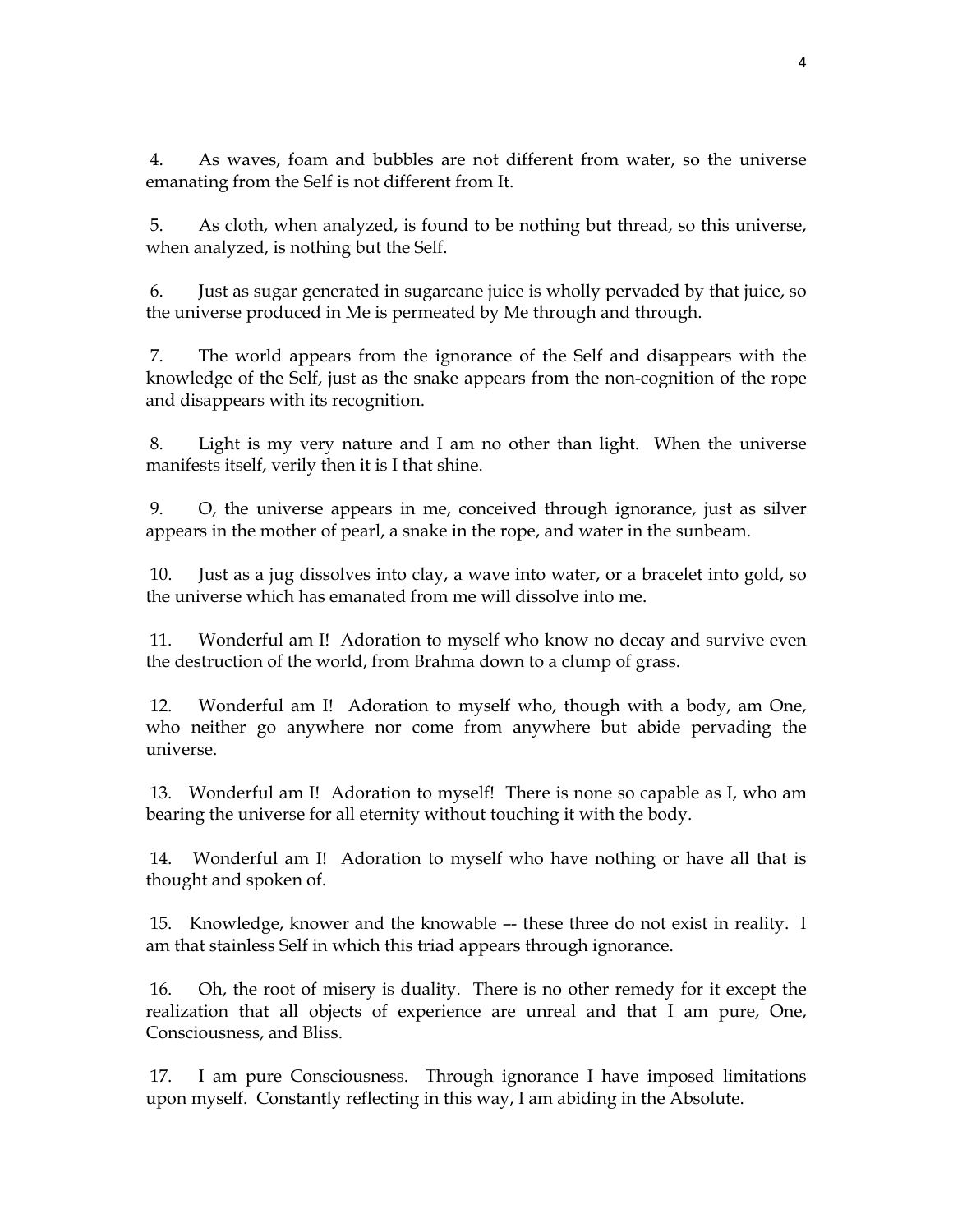4. As waves, foam and bubbles are not different from water, so the universe emanating from the Self is not different from It.

 5. As cloth, when analyzed, is found to be nothing but thread, so this universe, when analyzed, is nothing but the Self.

 6. Just as sugar generated in sugarcane juice is wholly pervaded by that juice, so the universe produced in Me is permeated by Me through and through.

 7. The world appears from the ignorance of the Self and disappears with the knowledge of the Self, just as the snake appears from the non-cognition of the rope and disappears with its recognition.

 8. Light is my very nature and I am no other than light. When the universe manifests itself, verily then it is I that shine.

 9. O, the universe appears in me, conceived through ignorance, just as silver appears in the mother of pearl, a snake in the rope, and water in the sunbeam.

 10. Just as a jug dissolves into clay, a wave into water, or a bracelet into gold, so the universe which has emanated from me will dissolve into me.

 11. Wonderful am I! Adoration to myself who know no decay and survive even the destruction of the world, from Brahma down to a clump of grass.

 12. Wonderful am I! Adoration to myself who, though with a body, am One, who neither go anywhere nor come from anywhere but abide pervading the universe.

 13. Wonderful am I! Adoration to myself! There is none so capable as I, who am bearing the universe for all eternity without touching it with the body.

 14. Wonderful am I! Adoration to myself who have nothing or have all that is thought and spoken of.

 15. Knowledge, knower and the knowable –- these three do not exist in reality. I am that stainless Self in which this triad appears through ignorance.

 16. Oh, the root of misery is duality. There is no other remedy for it except the realization that all objects of experience are unreal and that I am pure, One, Consciousness, and Bliss.

 17. I am pure Consciousness. Through ignorance I have imposed limitations upon myself. Constantly reflecting in this way, I am abiding in the Absolute.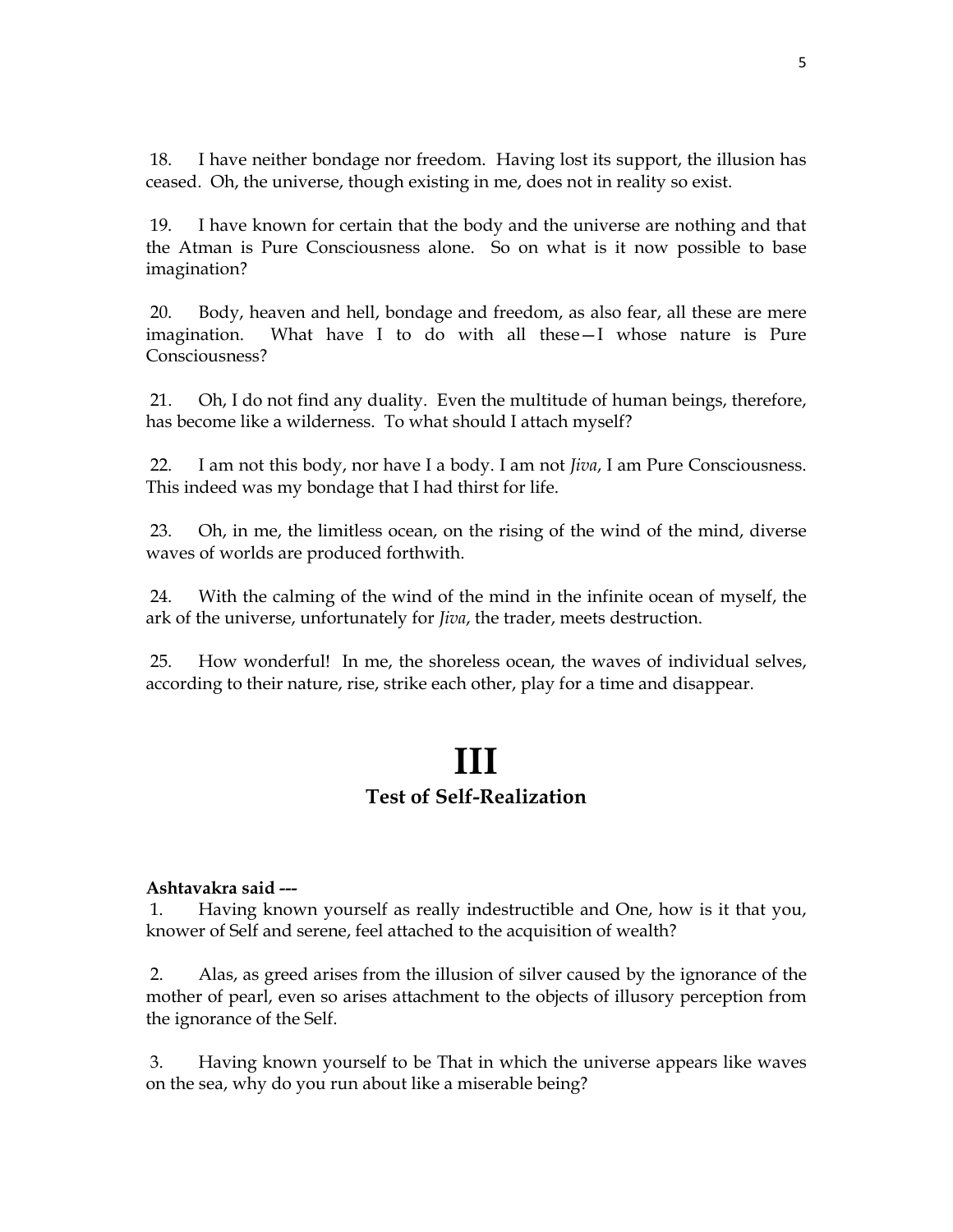18. I have neither bondage nor freedom. Having lost its support, the illusion has ceased. Oh, the universe, though existing in me, does not in reality so exist.

 19. I have known for certain that the body and the universe are nothing and that the Atman is Pure Consciousness alone. So on what is it now possible to base imagination?

 20. Body, heaven and hell, bondage and freedom, as also fear, all these are mere imagination. What have I to do with all these—I whose nature is Pure Consciousness?

 21. Oh, I do not find any duality. Even the multitude of human beings, therefore, has become like a wilderness. To what should I attach myself?

 22. I am not this body, nor have I a body. I am not *Jiva*, I am Pure Consciousness. This indeed was my bondage that I had thirst for life.

 23. Oh, in me, the limitless ocean, on the rising of the wind of the mind, diverse waves of worlds are produced forthwith.

 24. With the calming of the wind of the mind in the infinite ocean of myself, the ark of the universe, unfortunately for *Jiva*, the trader, meets destruction.

 25. How wonderful! In me, the shoreless ocean, the waves of individual selves, according to their nature, rise, strike each other, play for a time and disappear.

## **III Test of Self-Realization**

### **Ashtavakra said ---**

 1. Having known yourself as really indestructible and One, how is it that you, knower of Self and serene, feel attached to the acquisition of wealth?

 2. Alas, as greed arises from the illusion of silver caused by the ignorance of the mother of pearl, even so arises attachment to the objects of illusory perception from the ignorance of the Self.

 3. Having known yourself to be That in which the universe appears like waves on the sea, why do you run about like a miserable being?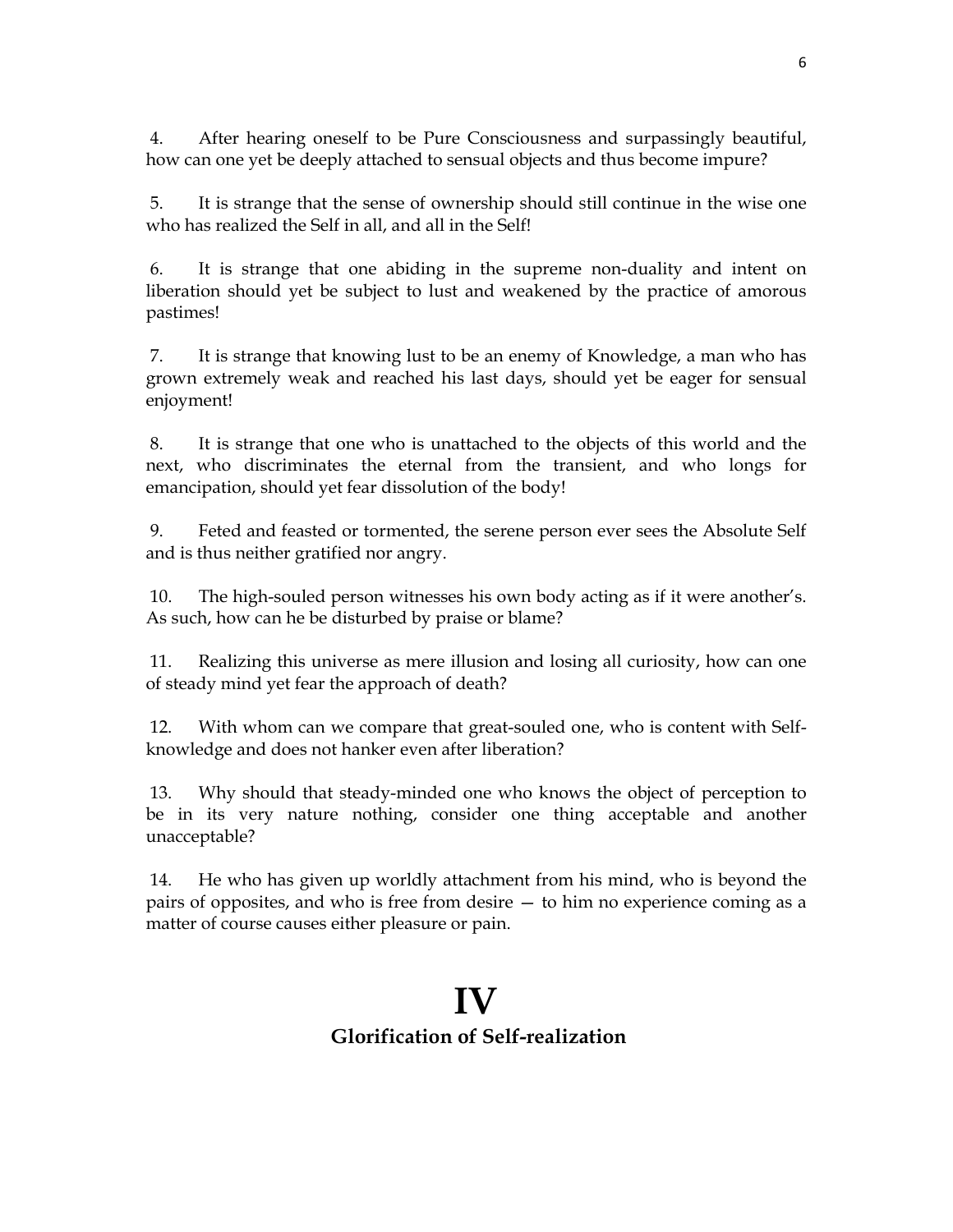4. After hearing oneself to be Pure Consciousness and surpassingly beautiful, how can one yet be deeply attached to sensual objects and thus become impure?

 5. It is strange that the sense of ownership should still continue in the wise one who has realized the Self in all, and all in the Self!

 6. It is strange that one abiding in the supreme non-duality and intent on liberation should yet be subject to lust and weakened by the practice of amorous pastimes!

 7. It is strange that knowing lust to be an enemy of Knowledge, a man who has grown extremely weak and reached his last days, should yet be eager for sensual enjoyment!

 8. It is strange that one who is unattached to the objects of this world and the next, who discriminates the eternal from the transient, and who longs for emancipation, should yet fear dissolution of the body!

 9. Feted and feasted or tormented, the serene person ever sees the Absolute Self and is thus neither gratified nor angry.

 10. The high-souled person witnesses his own body acting as if it were another's. As such, how can he be disturbed by praise or blame?

 11. Realizing this universe as mere illusion and losing all curiosity, how can one of steady mind yet fear the approach of death?

 12. With whom can we compare that great-souled one, who is content with Selfknowledge and does not hanker even after liberation?

 13. Why should that steady-minded one who knows the object of perception to be in its very nature nothing, consider one thing acceptable and another unacceptable?

 14. He who has given up worldly attachment from his mind, who is beyond the pairs of opposites, and who is free from desire — to him no experience coming as a matter of course causes either pleasure or pain.

## **IV**

### **Glorification of Self-realization**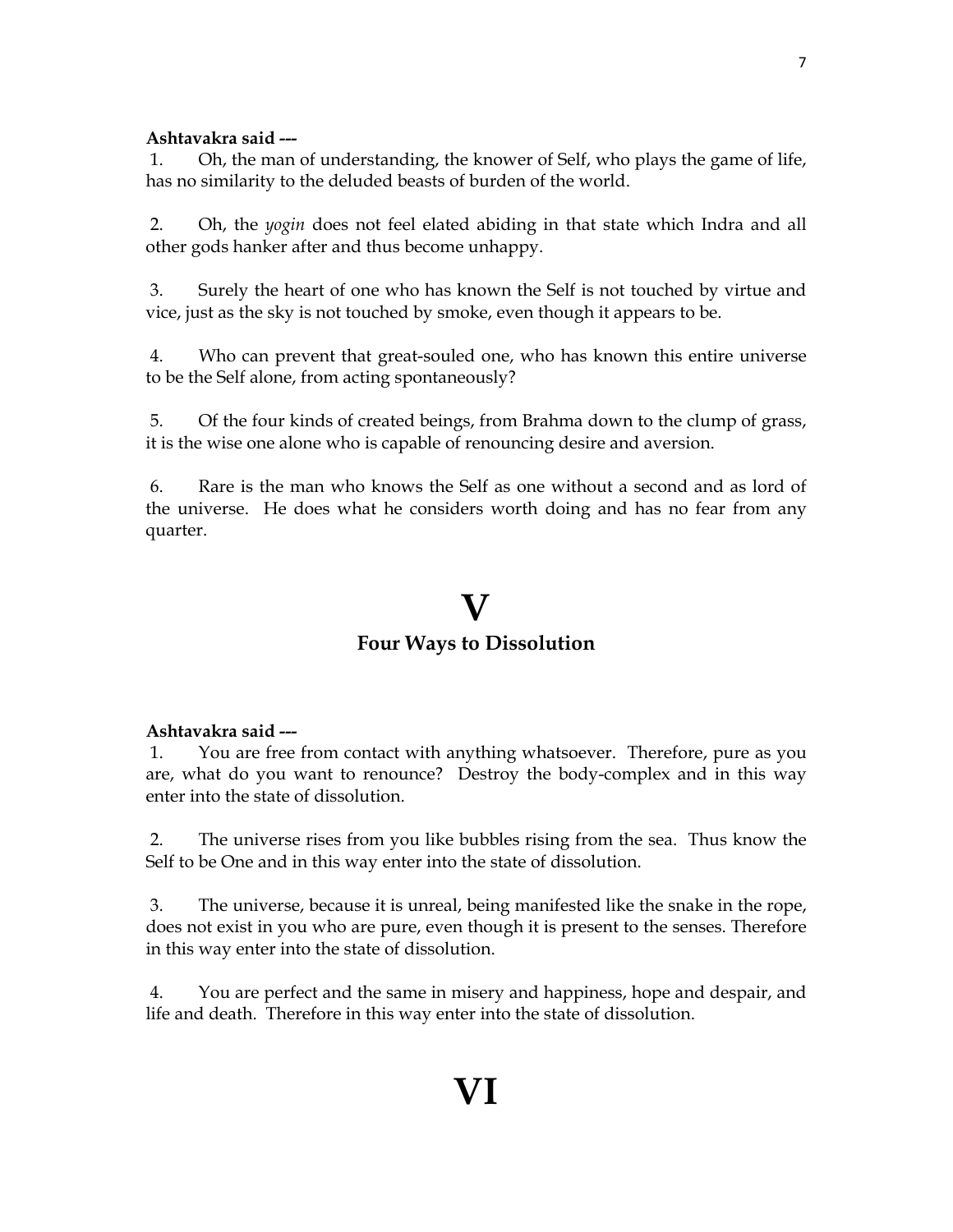### **Ashtavakra said ---**

 1. Oh, the man of understanding, the knower of Self, who plays the game of life, has no similarity to the deluded beasts of burden of the world.

 2. Oh, the *yogin* does not feel elated abiding in that state which Indra and all other gods hanker after and thus become unhappy.

 3. Surely the heart of one who has known the Self is not touched by virtue and vice, just as the sky is not touched by smoke, even though it appears to be.

 4. Who can prevent that great-souled one, who has known this entire universe to be the Self alone, from acting spontaneously?

 5. Of the four kinds of created beings, from Brahma down to the clump of grass, it is the wise one alone who is capable of renouncing desire and aversion.

 6. Rare is the man who knows the Self as one without a second and as lord of the universe. He does what he considers worth doing and has no fear from any quarter.

## **V**

### **Four Ways to Dissolution**

### **Ashtavakra said ---**

 1. You are free from contact with anything whatsoever. Therefore, pure as you are, what do you want to renounce? Destroy the body-complex and in this way enter into the state of dissolution.

 2. The universe rises from you like bubbles rising from the sea. Thus know the Self to be One and in this way enter into the state of dissolution.

 3. The universe, because it is unreal, being manifested like the snake in the rope, does not exist in you who are pure, even though it is present to the senses. Therefore in this way enter into the state of dissolution.

 4. You are perfect and the same in misery and happiness, hope and despair, and life and death. Therefore in this way enter into the state of dissolution.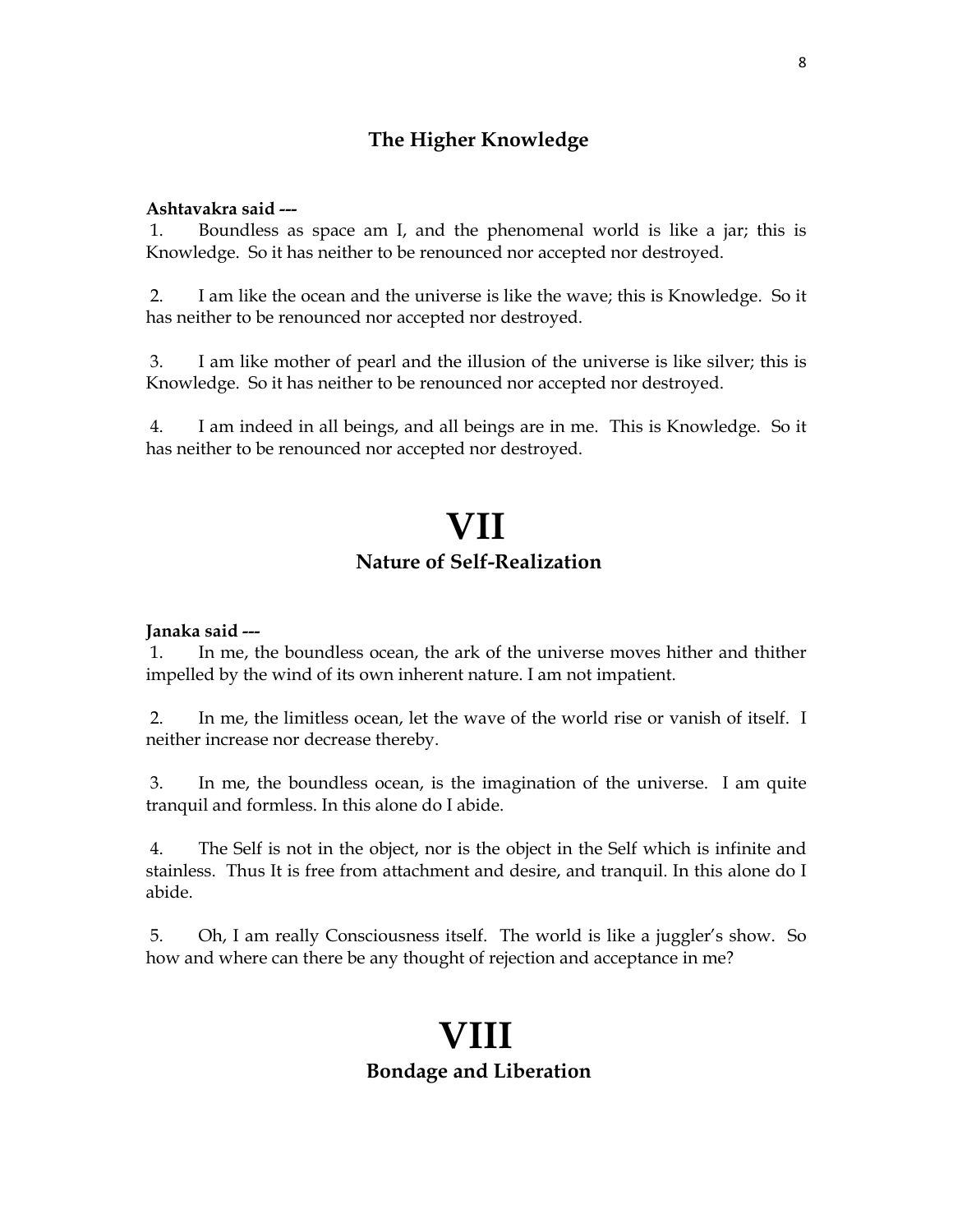### **The Higher Knowledge**

#### **Ashtavakra said ---**

 1. Boundless as space am I, and the phenomenal world is like a jar; this is Knowledge. So it has neither to be renounced nor accepted nor destroyed.

 2. I am like the ocean and the universe is like the wave; this is Knowledge. So it has neither to be renounced nor accepted nor destroyed.

 3. I am like mother of pearl and the illusion of the universe is like silver; this is Knowledge. So it has neither to be renounced nor accepted nor destroyed.

 4. I am indeed in all beings, and all beings are in me. This is Knowledge. So it has neither to be renounced nor accepted nor destroyed.

### **VII Nature of Self-Realization**

#### **Janaka said ---**

 1. In me, the boundless ocean, the ark of the universe moves hither and thither impelled by the wind of its own inherent nature. I am not impatient.

 2. In me, the limitless ocean, let the wave of the world rise or vanish of itself. I neither increase nor decrease thereby.

 3. In me, the boundless ocean, is the imagination of the universe. I am quite tranquil and formless. In this alone do I abide.

 4. The Self is not in the object, nor is the object in the Self which is infinite and stainless. Thus It is free from attachment and desire, and tranquil. In this alone do I abide.

 5. Oh, I am really Consciousness itself. The world is like a juggler's show. So how and where can there be any thought of rejection and acceptance in me?

### **VIII Bondage and Liberation**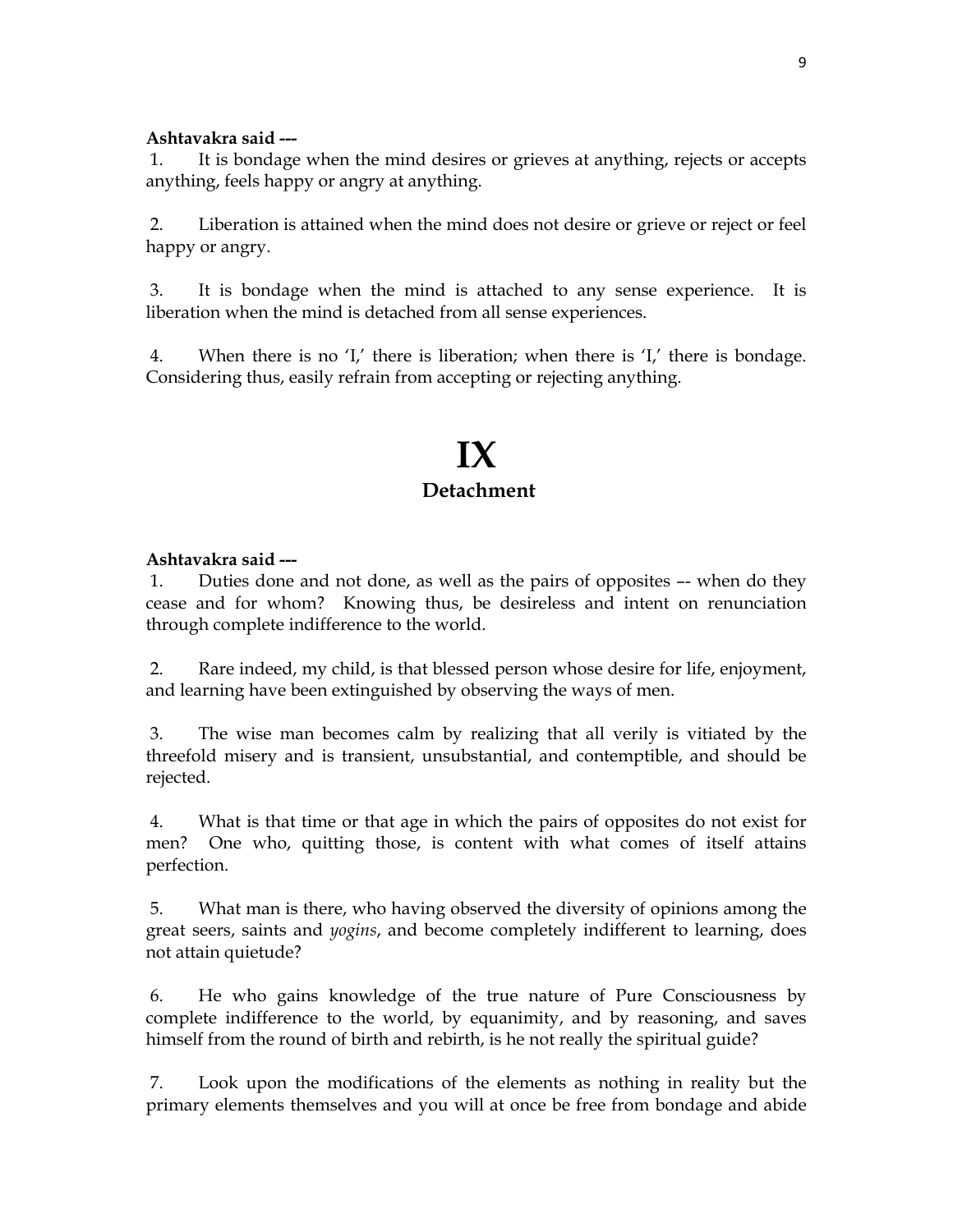#### **Ashtavakra said ---**

 1. It is bondage when the mind desires or grieves at anything, rejects or accepts anything, feels happy or angry at anything.

 2. Liberation is attained when the mind does not desire or grieve or reject or feel happy or angry.

 3. It is bondage when the mind is attached to any sense experience. It is liberation when the mind is detached from all sense experiences.

 4. When there is no 'I,' there is liberation; when there is 'I,' there is bondage. Considering thus, easily refrain from accepting or rejecting anything.

### **IX Detachment**

#### **Ashtavakra said ---**

 1. Duties done and not done, as well as the pairs of opposites –- when do they cease and for whom? Knowing thus, be desireless and intent on renunciation through complete indifference to the world.

 2. Rare indeed, my child, is that blessed person whose desire for life, enjoyment, and learning have been extinguished by observing the ways of men.

 3. The wise man becomes calm by realizing that all verily is vitiated by the threefold misery and is transient, unsubstantial, and contemptible, and should be rejected.

 4. What is that time or that age in which the pairs of opposites do not exist for men? One who, quitting those, is content with what comes of itself attains perfection.

 5. What man is there, who having observed the diversity of opinions among the great seers, saints and *yogins*, and become completely indifferent to learning, does not attain quietude?

 6. He who gains knowledge of the true nature of Pure Consciousness by complete indifference to the world, by equanimity, and by reasoning, and saves himself from the round of birth and rebirth, is he not really the spiritual guide?

 7. Look upon the modifications of the elements as nothing in reality but the primary elements themselves and you will at once be free from bondage and abide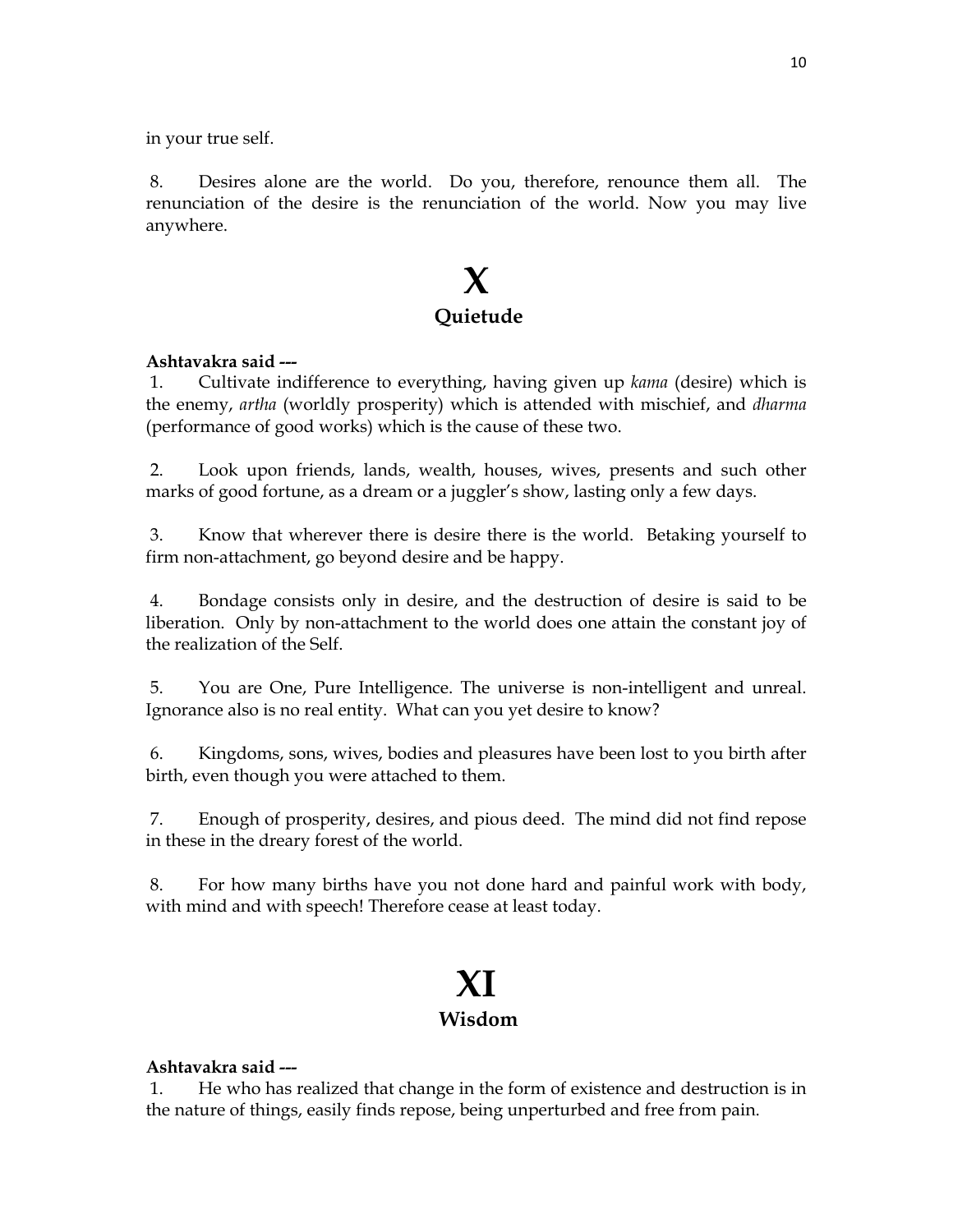in your true self.

 8. Desires alone are the world. Do you, therefore, renounce them all. The renunciation of the desire is the renunciation of the world. Now you may live anywhere.

### **X Quietude**

#### **Ashtavakra said ---**

 1. Cultivate indifference to everything, having given up *kama* (desire) which is the enemy, *artha* (worldly prosperity) which is attended with mischief, and *dharma* (performance of good works) which is the cause of these two.

 2. Look upon friends, lands, wealth, houses, wives, presents and such other marks of good fortune, as a dream or a juggler's show, lasting only a few days.

 3. Know that wherever there is desire there is the world. Betaking yourself to firm non-attachment, go beyond desire and be happy.

 4. Bondage consists only in desire, and the destruction of desire is said to be liberation. Only by non-attachment to the world does one attain the constant joy of the realization of the Self.

 5. You are One, Pure Intelligence. The universe is non-intelligent and unreal. Ignorance also is no real entity. What can you yet desire to know?

 6. Kingdoms, sons, wives, bodies and pleasures have been lost to you birth after birth, even though you were attached to them.

 7. Enough of prosperity, desires, and pious deed. The mind did not find repose in these in the dreary forest of the world.

 8. For how many births have you not done hard and painful work with body, with mind and with speech! Therefore cease at least today.

### **XI Wisdom**

### **Ashtavakra said ---**

 1. He who has realized that change in the form of existence and destruction is in the nature of things, easily finds repose, being unperturbed and free from pain.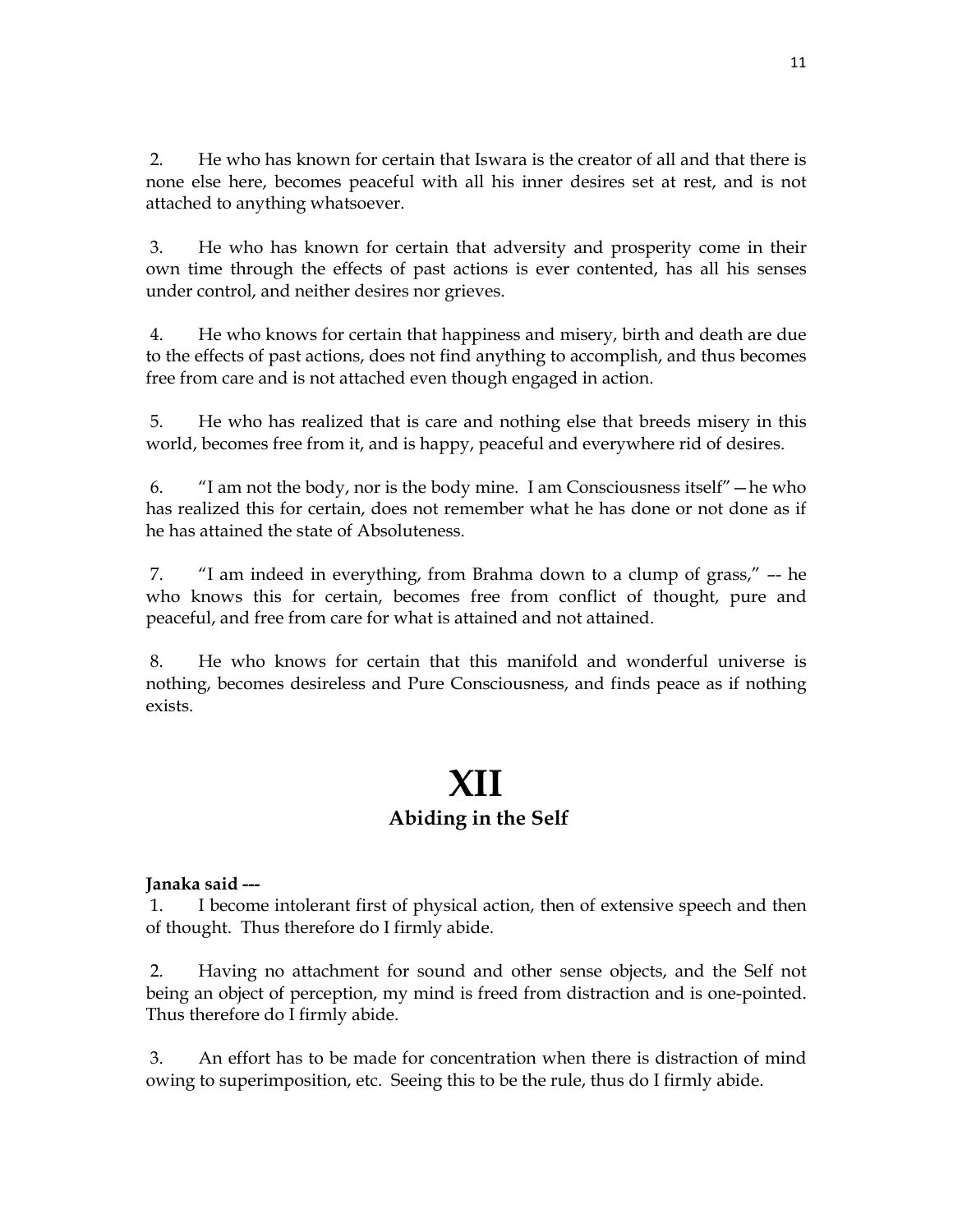2. He who has known for certain that Iswara is the creator of all and that there is none else here, becomes peaceful with all his inner desires set at rest, and is not attached to anything whatsoever.

 3. He who has known for certain that adversity and prosperity come in their own time through the effects of past actions is ever contented, has all his senses under control, and neither desires nor grieves.

 4. He who knows for certain that happiness and misery, birth and death are due to the effects of past actions, does not find anything to accomplish, and thus becomes free from care and is not attached even though engaged in action.

 5. He who has realized that is care and nothing else that breeds misery in this world, becomes free from it, and is happy, peaceful and everywhere rid of desires.

 6. "I am not the body, nor is the body mine. I am Consciousness itself"—he who has realized this for certain, does not remember what he has done or not done as if he has attained the state of Absoluteness.

 7. "I am indeed in everything, from Brahma down to a clump of grass," –- he who knows this for certain, becomes free from conflict of thought, pure and peaceful, and free from care for what is attained and not attained.

 8. He who knows for certain that this manifold and wonderful universe is nothing, becomes desireless and Pure Consciousness, and finds peace as if nothing exists.

### **XII Abiding in the Self**

### **Janaka said ---**

 1. I become intolerant first of physical action, then of extensive speech and then of thought. Thus therefore do I firmly abide.

 2. Having no attachment for sound and other sense objects, and the Self not being an object of perception, my mind is freed from distraction and is one-pointed. Thus therefore do I firmly abide.

 3. An effort has to be made for concentration when there is distraction of mind owing to superimposition, etc. Seeing this to be the rule, thus do I firmly abide.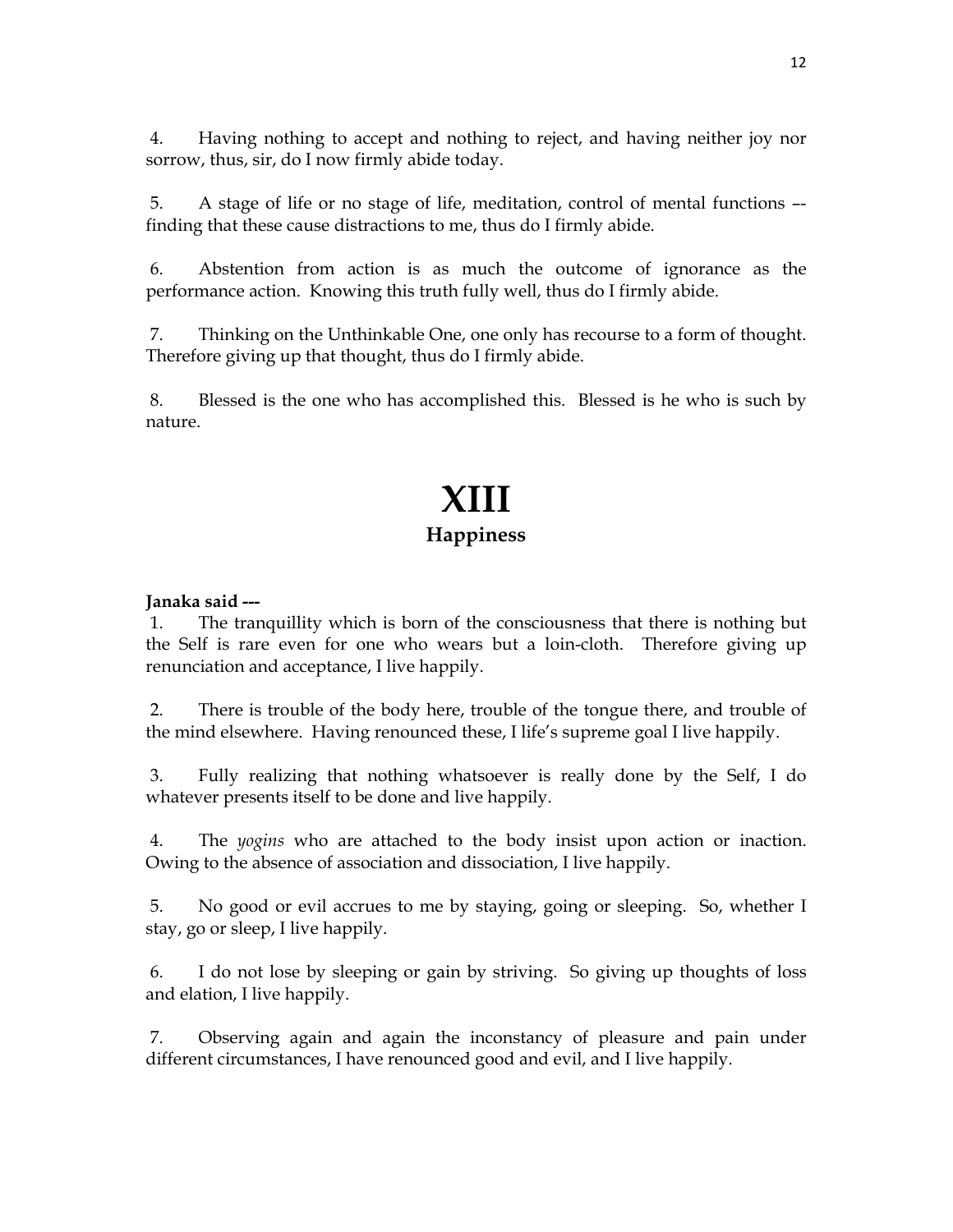4. Having nothing to accept and nothing to reject, and having neither joy nor sorrow, thus, sir, do I now firmly abide today.

 5. A stage of life or no stage of life, meditation, control of mental functions – finding that these cause distractions to me, thus do I firmly abide.

 6. Abstention from action is as much the outcome of ignorance as the performance action. Knowing this truth fully well, thus do I firmly abide.

 7. Thinking on the Unthinkable One, one only has recourse to a form of thought. Therefore giving up that thought, thus do I firmly abide.

 8. Blessed is the one who has accomplished this. Blessed is he who is such by nature.

## **XIII Happiness**

### **Janaka said ---**

 1. The tranquillity which is born of the consciousness that there is nothing but the Self is rare even for one who wears but a loin-cloth. Therefore giving up renunciation and acceptance, I live happily.

 2. There is trouble of the body here, trouble of the tongue there, and trouble of the mind elsewhere. Having renounced these, I life's supreme goal I live happily.

 3. Fully realizing that nothing whatsoever is really done by the Self, I do whatever presents itself to be done and live happily.

 4. The *yogins* who are attached to the body insist upon action or inaction. Owing to the absence of association and dissociation, I live happily.

 5. No good or evil accrues to me by staying, going or sleeping. So, whether I stay, go or sleep, I live happily.

 6. I do not lose by sleeping or gain by striving. So giving up thoughts of loss and elation, I live happily.

 7. Observing again and again the inconstancy of pleasure and pain under different circumstances, I have renounced good and evil, and I live happily.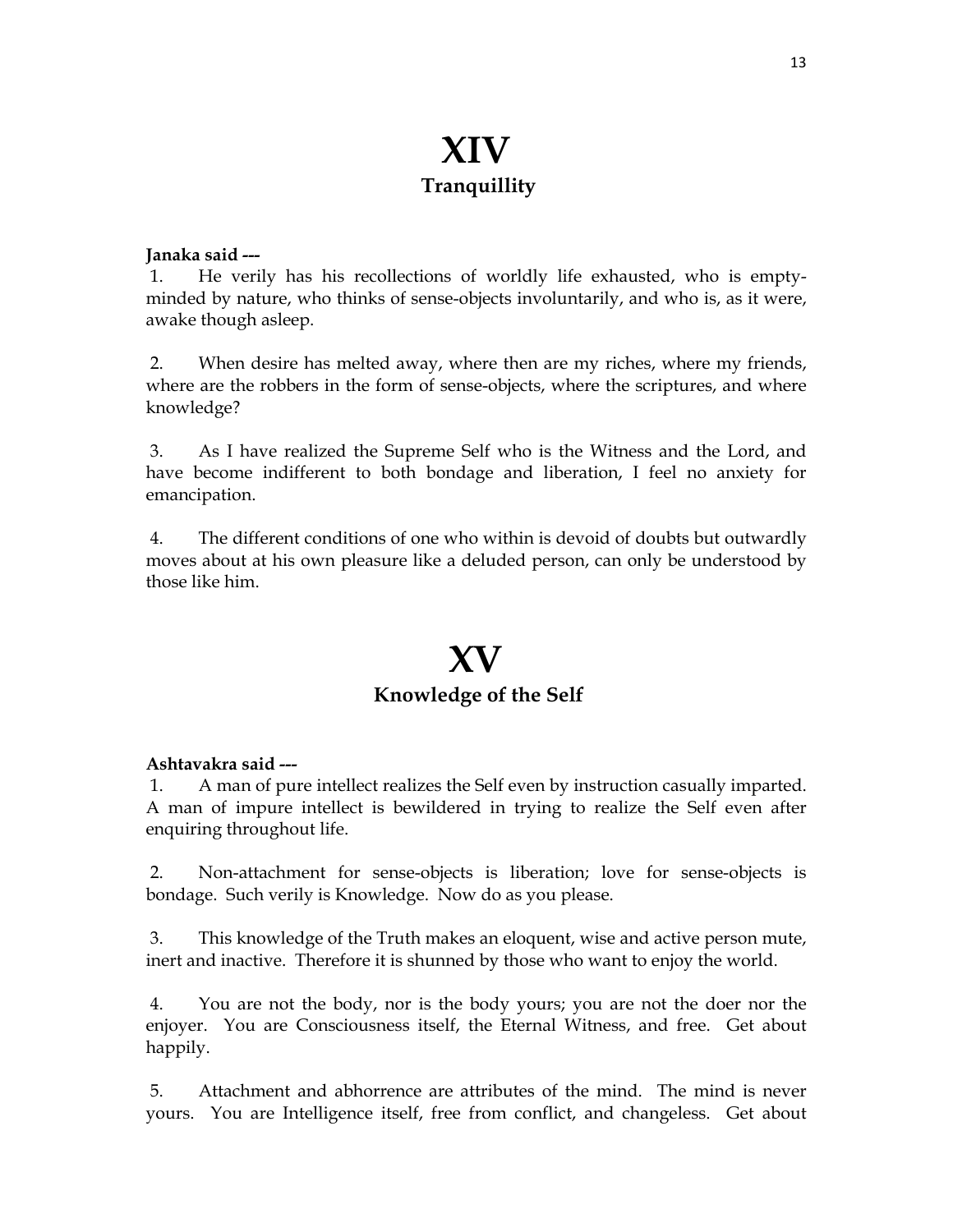## **XIV Tranquillity**

#### **Janaka said ---**

 1. He verily has his recollections of worldly life exhausted, who is emptyminded by nature, who thinks of sense-objects involuntarily, and who is, as it were, awake though asleep.

 2. When desire has melted away, where then are my riches, where my friends, where are the robbers in the form of sense-objects, where the scriptures, and where knowledge?

 3. As I have realized the Supreme Self who is the Witness and the Lord, and have become indifferent to both bondage and liberation, I feel no anxiety for emancipation.

 4. The different conditions of one who within is devoid of doubts but outwardly moves about at his own pleasure like a deluded person, can only be understood by those like him.

### **XV Knowledge of the Self**

#### **Ashtavakra said ---**

 1. A man of pure intellect realizes the Self even by instruction casually imparted. A man of impure intellect is bewildered in trying to realize the Self even after enquiring throughout life.

 2. Non-attachment for sense-objects is liberation; love for sense-objects is bondage. Such verily is Knowledge. Now do as you please.

 3. This knowledge of the Truth makes an eloquent, wise and active person mute, inert and inactive. Therefore it is shunned by those who want to enjoy the world.

 4. You are not the body, nor is the body yours; you are not the doer nor the enjoyer. You are Consciousness itself, the Eternal Witness, and free. Get about happily.

 5. Attachment and abhorrence are attributes of the mind. The mind is never yours. You are Intelligence itself, free from conflict, and changeless. Get about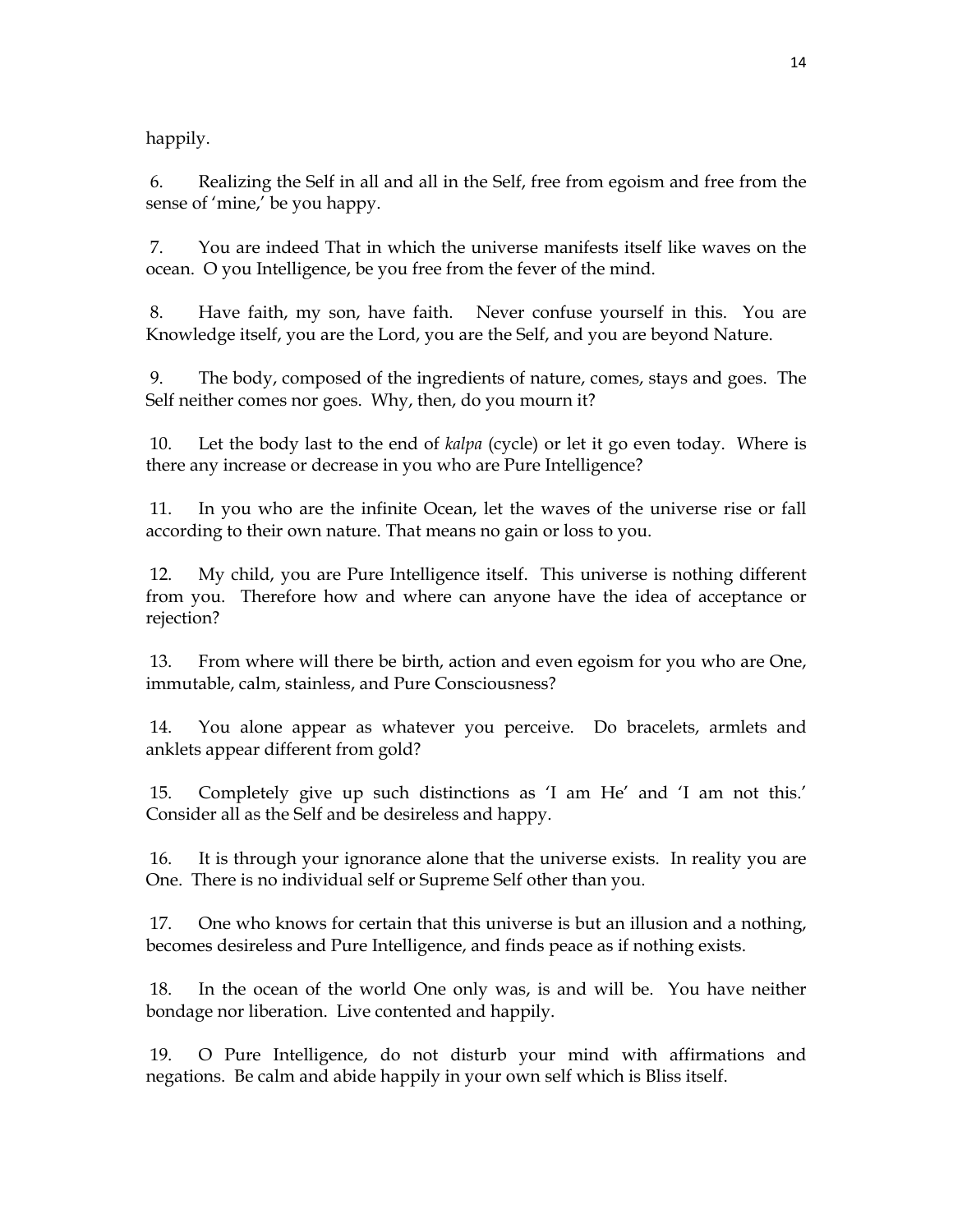happily.

 6. Realizing the Self in all and all in the Self, free from egoism and free from the sense of 'mine,' be you happy.

 7. You are indeed That in which the universe manifests itself like waves on the ocean. O you Intelligence, be you free from the fever of the mind.

 8. Have faith, my son, have faith. Never confuse yourself in this. You are Knowledge itself, you are the Lord, you are the Self, and you are beyond Nature.

 9. The body, composed of the ingredients of nature, comes, stays and goes. The Self neither comes nor goes. Why, then, do you mourn it?

 10. Let the body last to the end of *kalpa* (cycle) or let it go even today. Where is there any increase or decrease in you who are Pure Intelligence?

 11. In you who are the infinite Ocean, let the waves of the universe rise or fall according to their own nature. That means no gain or loss to you.

 12. My child, you are Pure Intelligence itself. This universe is nothing different from you. Therefore how and where can anyone have the idea of acceptance or rejection?

 13. From where will there be birth, action and even egoism for you who are One, immutable, calm, stainless, and Pure Consciousness?

 14. You alone appear as whatever you perceive. Do bracelets, armlets and anklets appear different from gold?

 15. Completely give up such distinctions as 'I am He' and 'I am not this.' Consider all as the Self and be desireless and happy.

 16. It is through your ignorance alone that the universe exists. In reality you are One. There is no individual self or Supreme Self other than you.

 17. One who knows for certain that this universe is but an illusion and a nothing, becomes desireless and Pure Intelligence, and finds peace as if nothing exists.

 18. In the ocean of the world One only was, is and will be. You have neither bondage nor liberation. Live contented and happily.

 19. O Pure Intelligence, do not disturb your mind with affirmations and negations. Be calm and abide happily in your own self which is Bliss itself.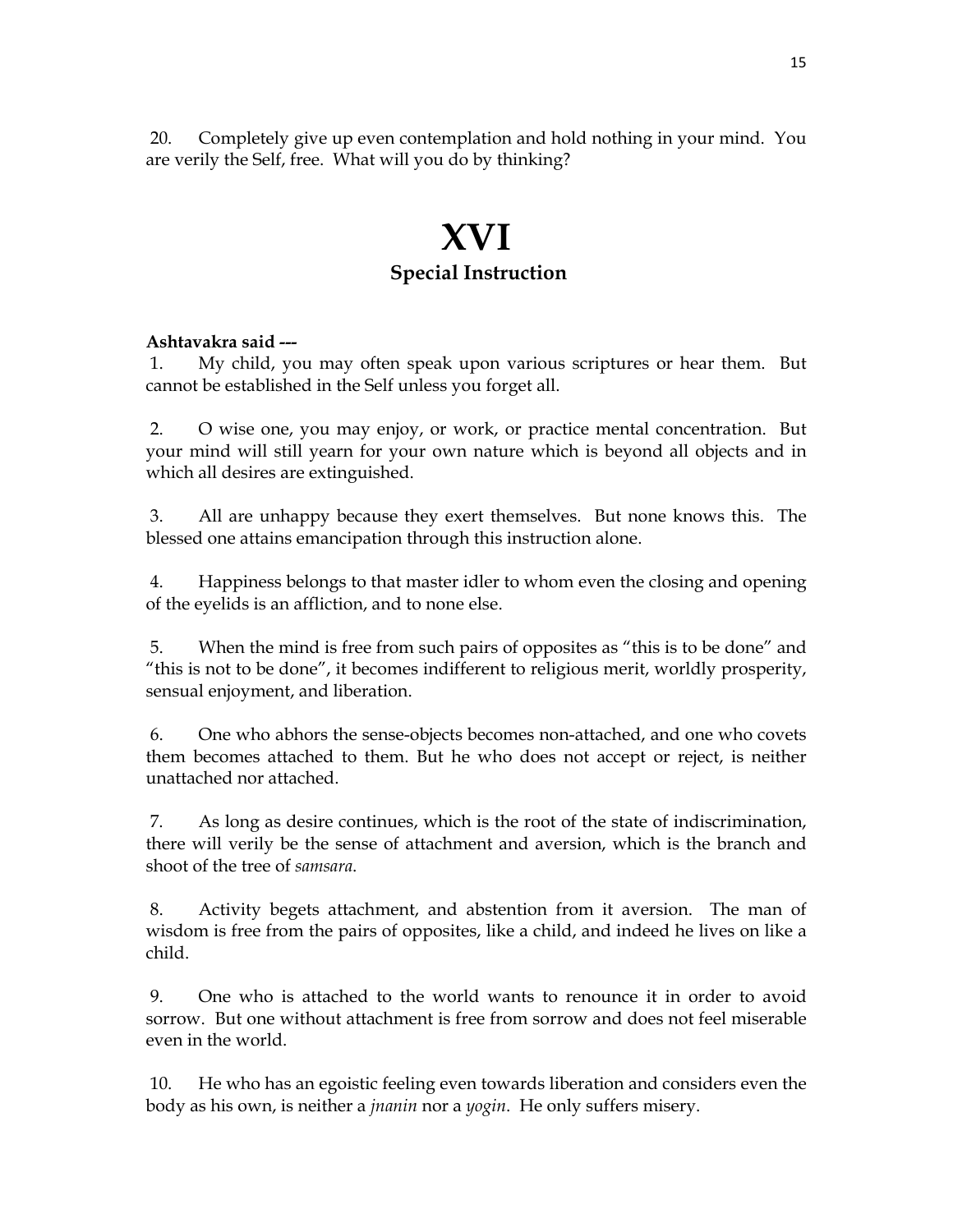20. Completely give up even contemplation and hold nothing in your mind. You are verily the Self, free. What will you do by thinking?

## **XVI Special Instruction**

#### **Ashtavakra said ---**

 1. My child, you may often speak upon various scriptures or hear them. But cannot be established in the Self unless you forget all.

 2. O wise one, you may enjoy, or work, or practice mental concentration. But your mind will still yearn for your own nature which is beyond all objects and in which all desires are extinguished.

 3. All are unhappy because they exert themselves. But none knows this. The blessed one attains emancipation through this instruction alone.

 4. Happiness belongs to that master idler to whom even the closing and opening of the eyelids is an affliction, and to none else.

 5. When the mind is free from such pairs of opposites as "this is to be done" and "this is not to be done", it becomes indifferent to religious merit, worldly prosperity, sensual enjoyment, and liberation.

 6. One who abhors the sense-objects becomes non-attached, and one who covets them becomes attached to them. But he who does not accept or reject, is neither unattached nor attached.

 7. As long as desire continues, which is the root of the state of indiscrimination, there will verily be the sense of attachment and aversion, which is the branch and shoot of the tree of *samsara*.

 8. Activity begets attachment, and abstention from it aversion. The man of wisdom is free from the pairs of opposites, like a child, and indeed he lives on like a child.

 9. One who is attached to the world wants to renounce it in order to avoid sorrow. But one without attachment is free from sorrow and does not feel miserable even in the world.

 10. He who has an egoistic feeling even towards liberation and considers even the body as his own, is neither a *jnanin* nor a *yogin*. He only suffers misery.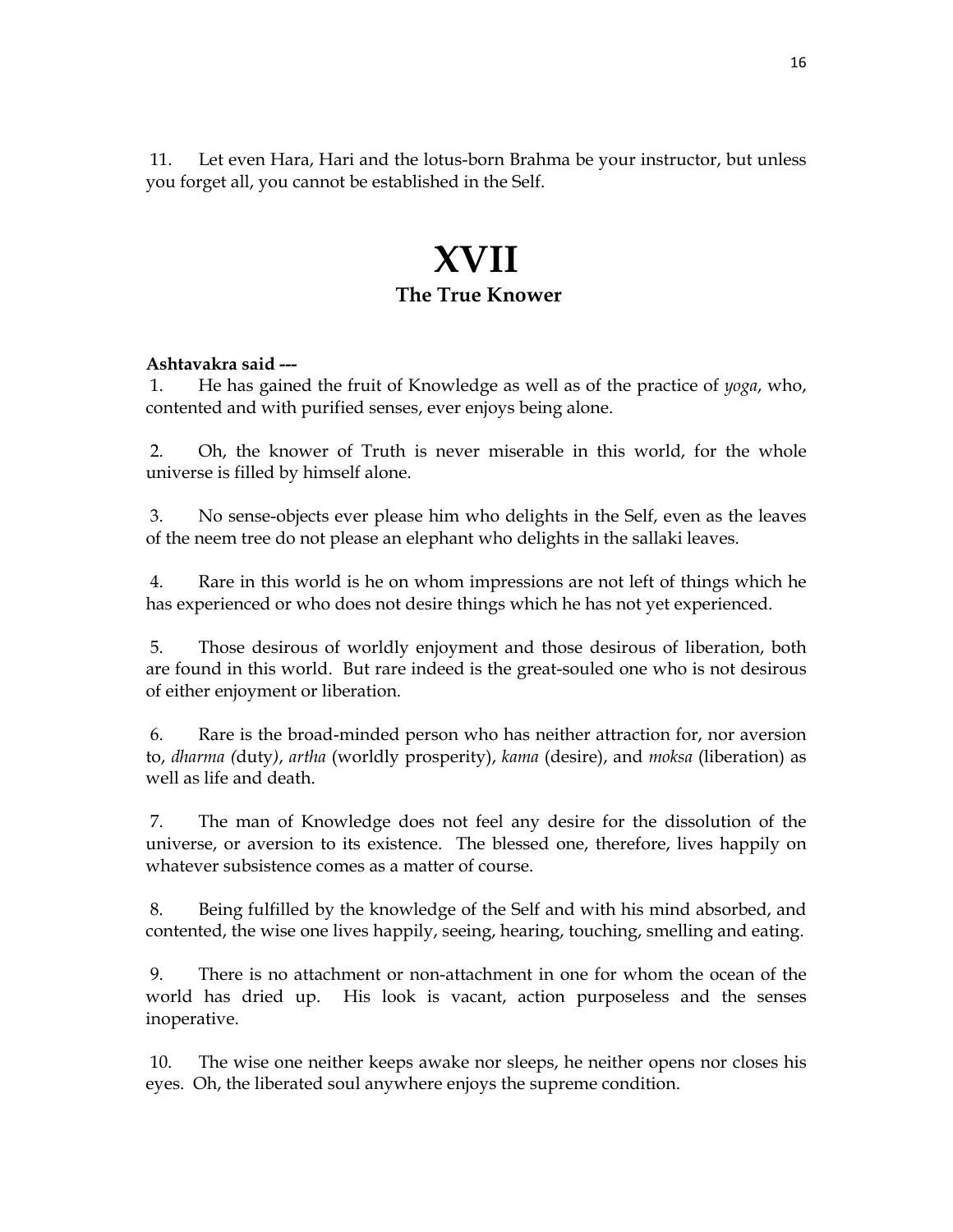11. Let even Hara, Hari and the lotus-born Brahma be your instructor, but unless you forget all, you cannot be established in the Self.

### **XVII The True Knower**

### **Ashtavakra said ---**

 1. He has gained the fruit of Knowledge as well as of the practice of *yoga*, who, contented and with purified senses, ever enjoys being alone.

 2. Oh, the knower of Truth is never miserable in this world, for the whole universe is filled by himself alone.

 3. No sense-objects ever please him who delights in the Self, even as the leaves of the neem tree do not please an elephant who delights in the sallaki leaves.

 4. Rare in this world is he on whom impressions are not left of things which he has experienced or who does not desire things which he has not yet experienced.

 5. Those desirous of worldly enjoyment and those desirous of liberation, both are found in this world. But rare indeed is the great-souled one who is not desirous of either enjoyment or liberation.

 6. Rare is the broad-minded person who has neither attraction for, nor aversion to, *dharma (*duty*)*, *artha* (worldly prosperity), *kama* (desire), and *moksa* (liberation) as well as life and death.

 7. The man of Knowledge does not feel any desire for the dissolution of the universe, or aversion to its existence. The blessed one, therefore, lives happily on whatever subsistence comes as a matter of course.

 8. Being fulfilled by the knowledge of the Self and with his mind absorbed, and contented, the wise one lives happily, seeing, hearing, touching, smelling and eating.

 9. There is no attachment or non-attachment in one for whom the ocean of the world has dried up. His look is vacant, action purposeless and the senses inoperative.

 10. The wise one neither keeps awake nor sleeps, he neither opens nor closes his eyes. Oh, the liberated soul anywhere enjoys the supreme condition.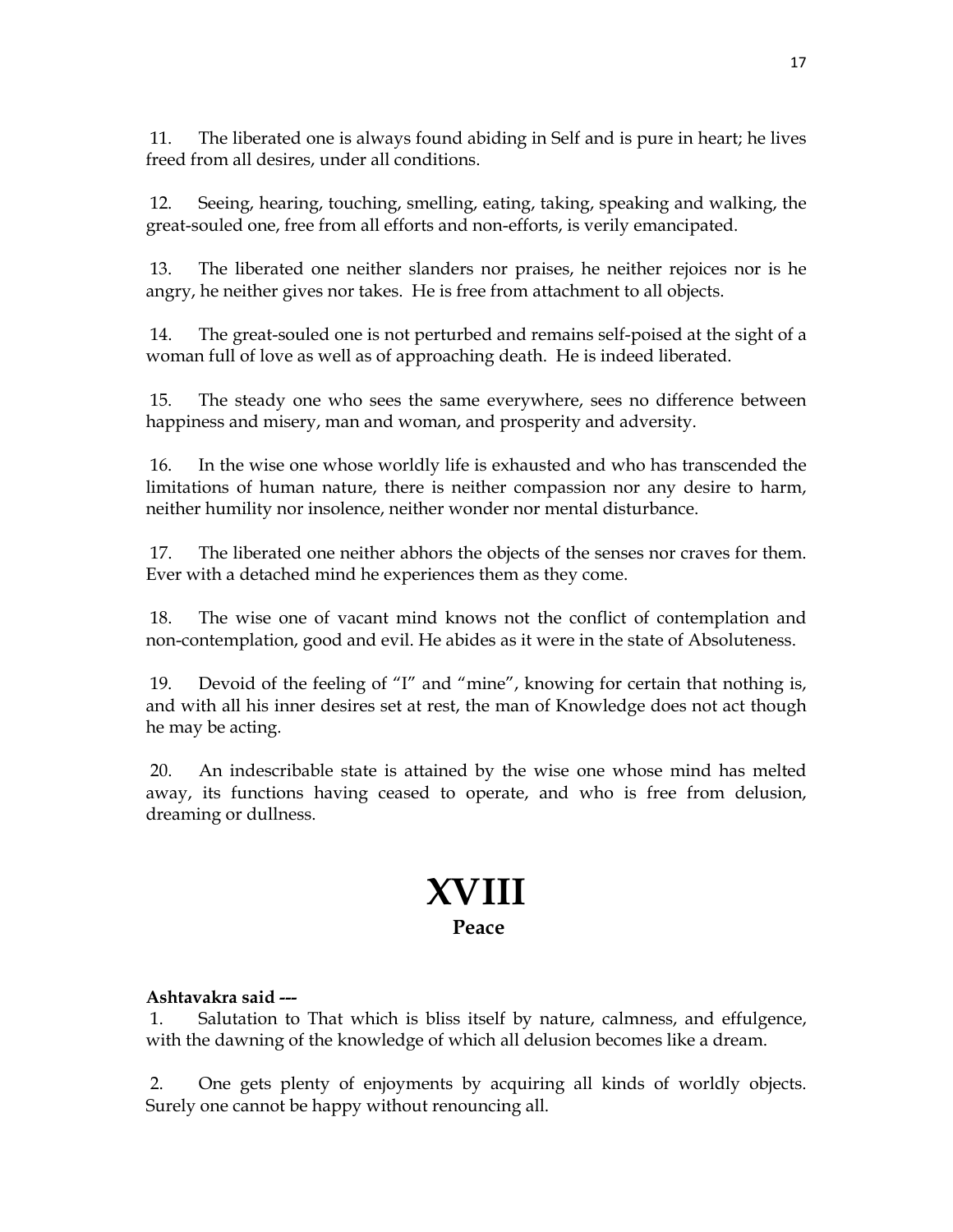11. The liberated one is always found abiding in Self and is pure in heart; he lives freed from all desires, under all conditions.

 12. Seeing, hearing, touching, smelling, eating, taking, speaking and walking, the great-souled one, free from all efforts and non-efforts, is verily emancipated.

 13. The liberated one neither slanders nor praises, he neither rejoices nor is he angry, he neither gives nor takes. He is free from attachment to all objects.

 14. The great-souled one is not perturbed and remains self-poised at the sight of a woman full of love as well as of approaching death. He is indeed liberated.

 15. The steady one who sees the same everywhere, sees no difference between happiness and misery, man and woman, and prosperity and adversity.

 16. In the wise one whose worldly life is exhausted and who has transcended the limitations of human nature, there is neither compassion nor any desire to harm, neither humility nor insolence, neither wonder nor mental disturbance.

 17. The liberated one neither abhors the objects of the senses nor craves for them. Ever with a detached mind he experiences them as they come.

 18. The wise one of vacant mind knows not the conflict of contemplation and non-contemplation, good and evil. He abides as it were in the state of Absoluteness.

 19. Devoid of the feeling of "I" and "mine", knowing for certain that nothing is, and with all his inner desires set at rest, the man of Knowledge does not act though he may be acting.

 20. An indescribable state is attained by the wise one whose mind has melted away, its functions having ceased to operate, and who is free from delusion, dreaming or dullness.

## **XVIII Peace**

### **Ashtavakra said ---**

 1. Salutation to That which is bliss itself by nature, calmness, and effulgence, with the dawning of the knowledge of which all delusion becomes like a dream.

 2. One gets plenty of enjoyments by acquiring all kinds of worldly objects. Surely one cannot be happy without renouncing all.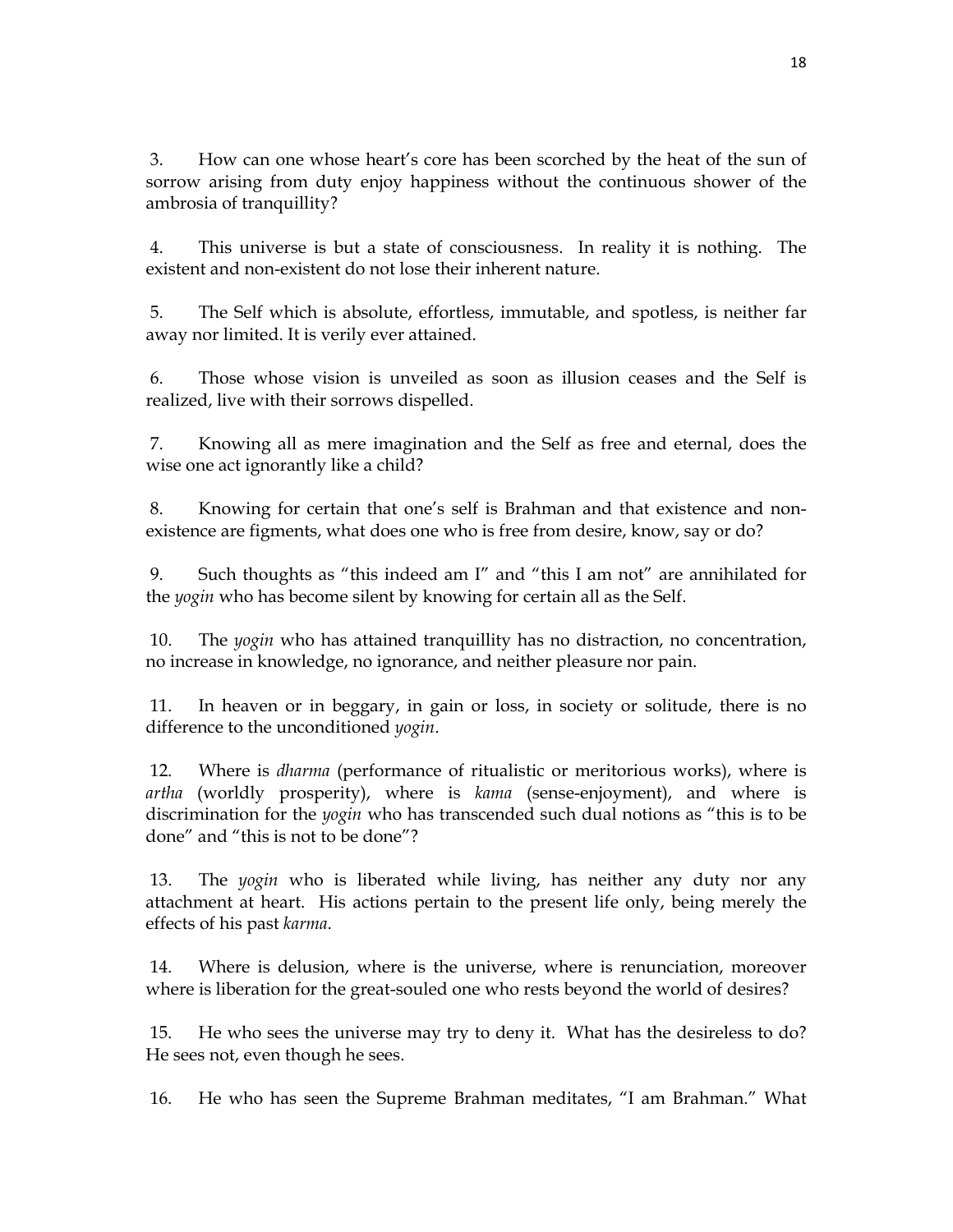3. How can one whose heart's core has been scorched by the heat of the sun of sorrow arising from duty enjoy happiness without the continuous shower of the ambrosia of tranquillity?

 4. This universe is but a state of consciousness. In reality it is nothing. The existent and non-existent do not lose their inherent nature.

 5. The Self which is absolute, effortless, immutable, and spotless, is neither far away nor limited. It is verily ever attained.

 6. Those whose vision is unveiled as soon as illusion ceases and the Self is realized, live with their sorrows dispelled.

 7. Knowing all as mere imagination and the Self as free and eternal, does the wise one act ignorantly like a child?

 8. Knowing for certain that one's self is Brahman and that existence and nonexistence are figments, what does one who is free from desire, know, say or do?

 9. Such thoughts as "this indeed am I" and "this I am not" are annihilated for the *yogin* who has become silent by knowing for certain all as the Self.

 10. The *yogin* who has attained tranquillity has no distraction, no concentration, no increase in knowledge, no ignorance, and neither pleasure nor pain.

 11. In heaven or in beggary, in gain or loss, in society or solitude, there is no difference to the unconditioned *yogin*.

 12. Where is *dharma* (performance of ritualistic or meritorious works), where is *artha* (worldly prosperity), where is *kama* (sense-enjoyment), and where is discrimination for the *yogin* who has transcended such dual notions as "this is to be done" and "this is not to be done"?

 13. The *yogin* who is liberated while living, has neither any duty nor any attachment at heart. His actions pertain to the present life only, being merely the effects of his past *karma*.

 14. Where is delusion, where is the universe, where is renunciation, moreover where is liberation for the great-souled one who rests beyond the world of desires?

 15. He who sees the universe may try to deny it. What has the desireless to do? He sees not, even though he sees.

16. He who has seen the Supreme Brahman meditates, "I am Brahman." What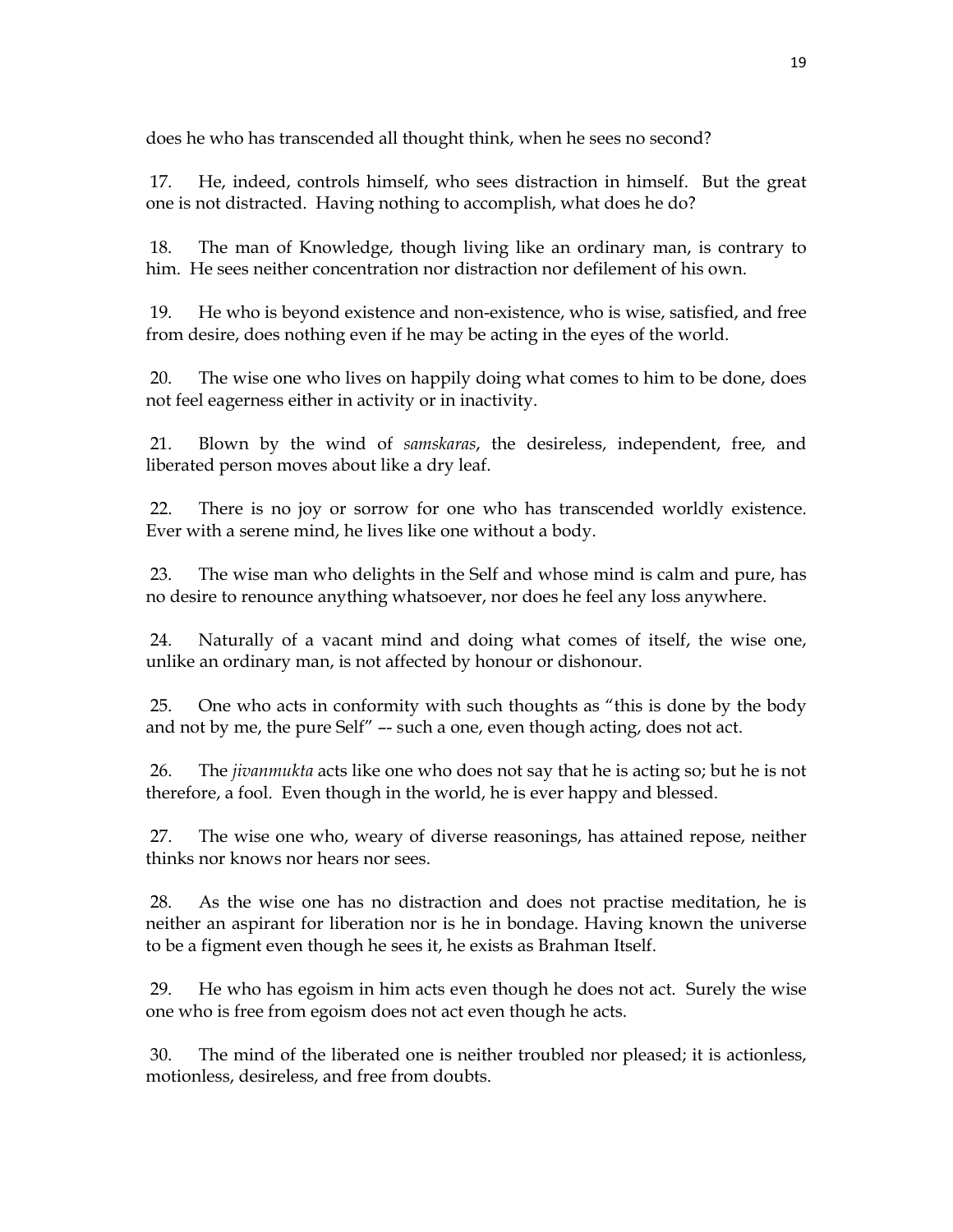does he who has transcended all thought think, when he sees no second?

 17. He, indeed, controls himself, who sees distraction in himself. But the great one is not distracted. Having nothing to accomplish, what does he do?

 18. The man of Knowledge, though living like an ordinary man, is contrary to him. He sees neither concentration nor distraction nor defilement of his own.

 19. He who is beyond existence and non-existence, who is wise, satisfied, and free from desire, does nothing even if he may be acting in the eyes of the world.

 20. The wise one who lives on happily doing what comes to him to be done, does not feel eagerness either in activity or in inactivity.

 21. Blown by the wind of *samskaras*, the desireless, independent, free, and liberated person moves about like a dry leaf.

 22. There is no joy or sorrow for one who has transcended worldly existence. Ever with a serene mind, he lives like one without a body.

 23. The wise man who delights in the Self and whose mind is calm and pure, has no desire to renounce anything whatsoever, nor does he feel any loss anywhere.

 24. Naturally of a vacant mind and doing what comes of itself, the wise one, unlike an ordinary man, is not affected by honour or dishonour.

 25. One who acts in conformity with such thoughts as "this is done by the body and not by me, the pure Self" –- such a one, even though acting, does not act.

 26. The *jivanmukta* acts like one who does not say that he is acting so; but he is not therefore, a fool. Even though in the world, he is ever happy and blessed.

 27. The wise one who, weary of diverse reasonings, has attained repose, neither thinks nor knows nor hears nor sees.

 28. As the wise one has no distraction and does not practise meditation, he is neither an aspirant for liberation nor is he in bondage. Having known the universe to be a figment even though he sees it, he exists as Brahman Itself.

 29. He who has egoism in him acts even though he does not act. Surely the wise one who is free from egoism does not act even though he acts.

 30. The mind of the liberated one is neither troubled nor pleased; it is actionless, motionless, desireless, and free from doubts.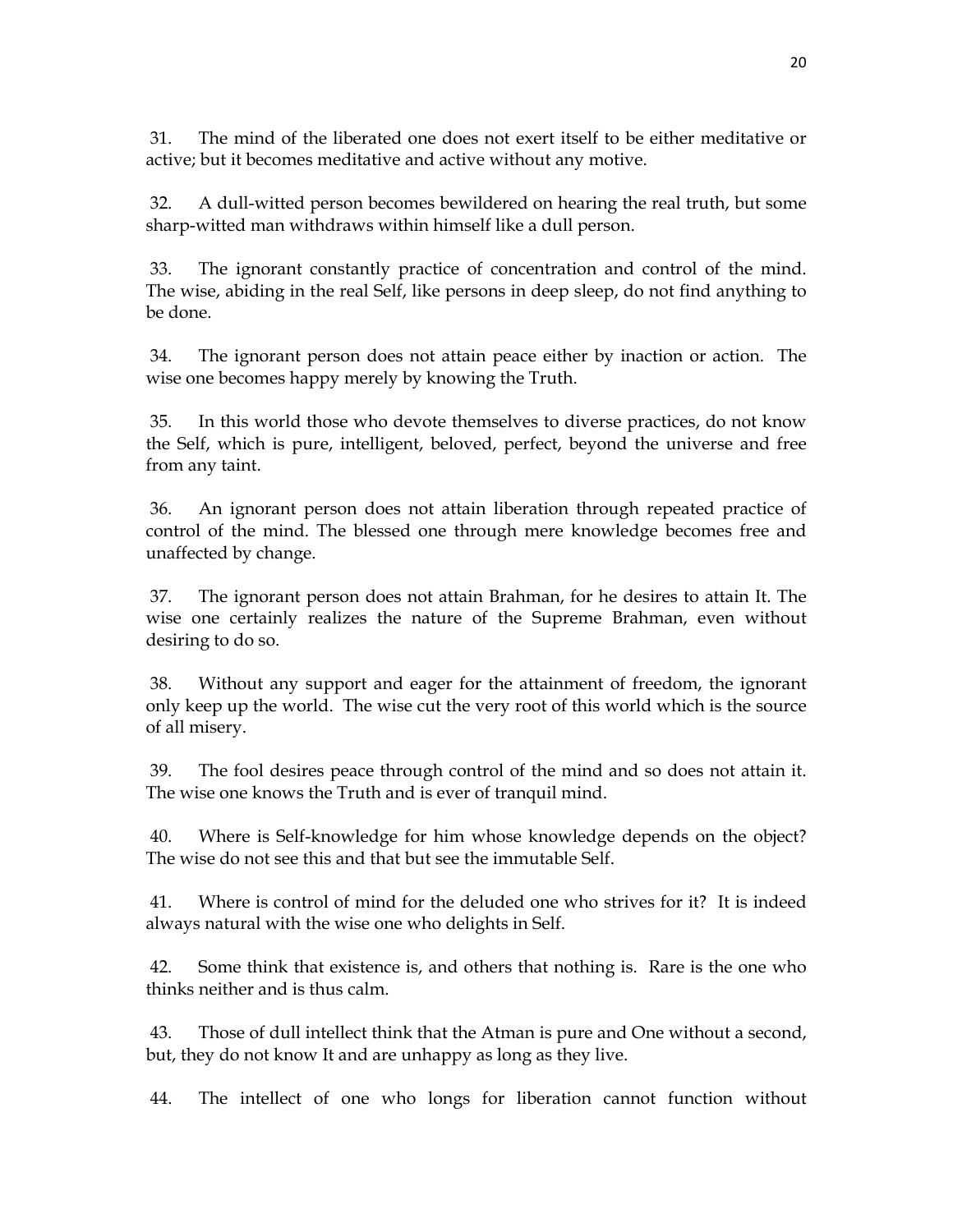31. The mind of the liberated one does not exert itself to be either meditative or active; but it becomes meditative and active without any motive.

 32. A dull-witted person becomes bewildered on hearing the real truth, but some sharp-witted man withdraws within himself like a dull person.

 33. The ignorant constantly practice of concentration and control of the mind. The wise, abiding in the real Self, like persons in deep sleep, do not find anything to be done.

 34. The ignorant person does not attain peace either by inaction or action. The wise one becomes happy merely by knowing the Truth.

 35. In this world those who devote themselves to diverse practices, do not know the Self, which is pure, intelligent, beloved, perfect, beyond the universe and free from any taint.

 36. An ignorant person does not attain liberation through repeated practice of control of the mind. The blessed one through mere knowledge becomes free and unaffected by change.

 37. The ignorant person does not attain Brahman, for he desires to attain It. The wise one certainly realizes the nature of the Supreme Brahman, even without desiring to do so.

 38. Without any support and eager for the attainment of freedom, the ignorant only keep up the world. The wise cut the very root of this world which is the source of all misery.

 39. The fool desires peace through control of the mind and so does not attain it. The wise one knows the Truth and is ever of tranquil mind.

 40. Where is Self-knowledge for him whose knowledge depends on the object? The wise do not see this and that but see the immutable Self.

 41. Where is control of mind for the deluded one who strives for it? It is indeed always natural with the wise one who delights in Self.

 42. Some think that existence is, and others that nothing is. Rare is the one who thinks neither and is thus calm.

 43. Those of dull intellect think that the Atman is pure and One without a second, but, they do not know It and are unhappy as long as they live.

44. The intellect of one who longs for liberation cannot function without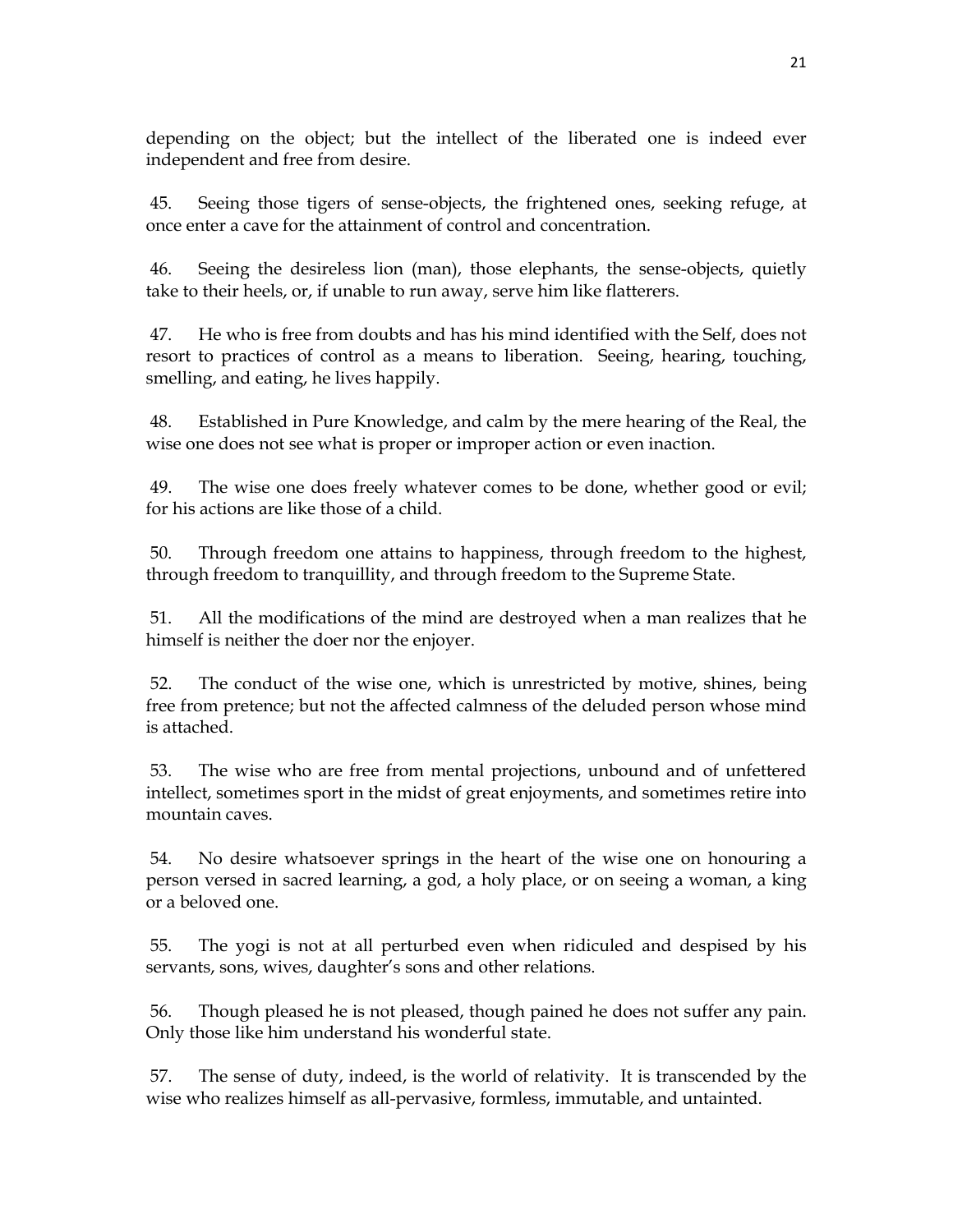depending on the object; but the intellect of the liberated one is indeed ever independent and free from desire.

 45. Seeing those tigers of sense-objects, the frightened ones, seeking refuge, at once enter a cave for the attainment of control and concentration.

 46. Seeing the desireless lion (man), those elephants, the sense-objects, quietly take to their heels, or, if unable to run away, serve him like flatterers.

 47. He who is free from doubts and has his mind identified with the Self, does not resort to practices of control as a means to liberation. Seeing, hearing, touching, smelling, and eating, he lives happily.

 48. Established in Pure Knowledge, and calm by the mere hearing of the Real, the wise one does not see what is proper or improper action or even inaction.

 49. The wise one does freely whatever comes to be done, whether good or evil; for his actions are like those of a child.

 50. Through freedom one attains to happiness, through freedom to the highest, through freedom to tranquillity, and through freedom to the Supreme State.

 51. All the modifications of the mind are destroyed when a man realizes that he himself is neither the doer nor the enjoyer.

 52. The conduct of the wise one, which is unrestricted by motive, shines, being free from pretence; but not the affected calmness of the deluded person whose mind is attached.

 53. The wise who are free from mental projections, unbound and of unfettered intellect, sometimes sport in the midst of great enjoyments, and sometimes retire into mountain caves.

 54. No desire whatsoever springs in the heart of the wise one on honouring a person versed in sacred learning, a god, a holy place, or on seeing a woman, a king or a beloved one.

 55. The yogi is not at all perturbed even when ridiculed and despised by his servants, sons, wives, daughter's sons and other relations.

 56. Though pleased he is not pleased, though pained he does not suffer any pain. Only those like him understand his wonderful state.

 57. The sense of duty, indeed, is the world of relativity. It is transcended by the wise who realizes himself as all-pervasive, formless, immutable, and untainted.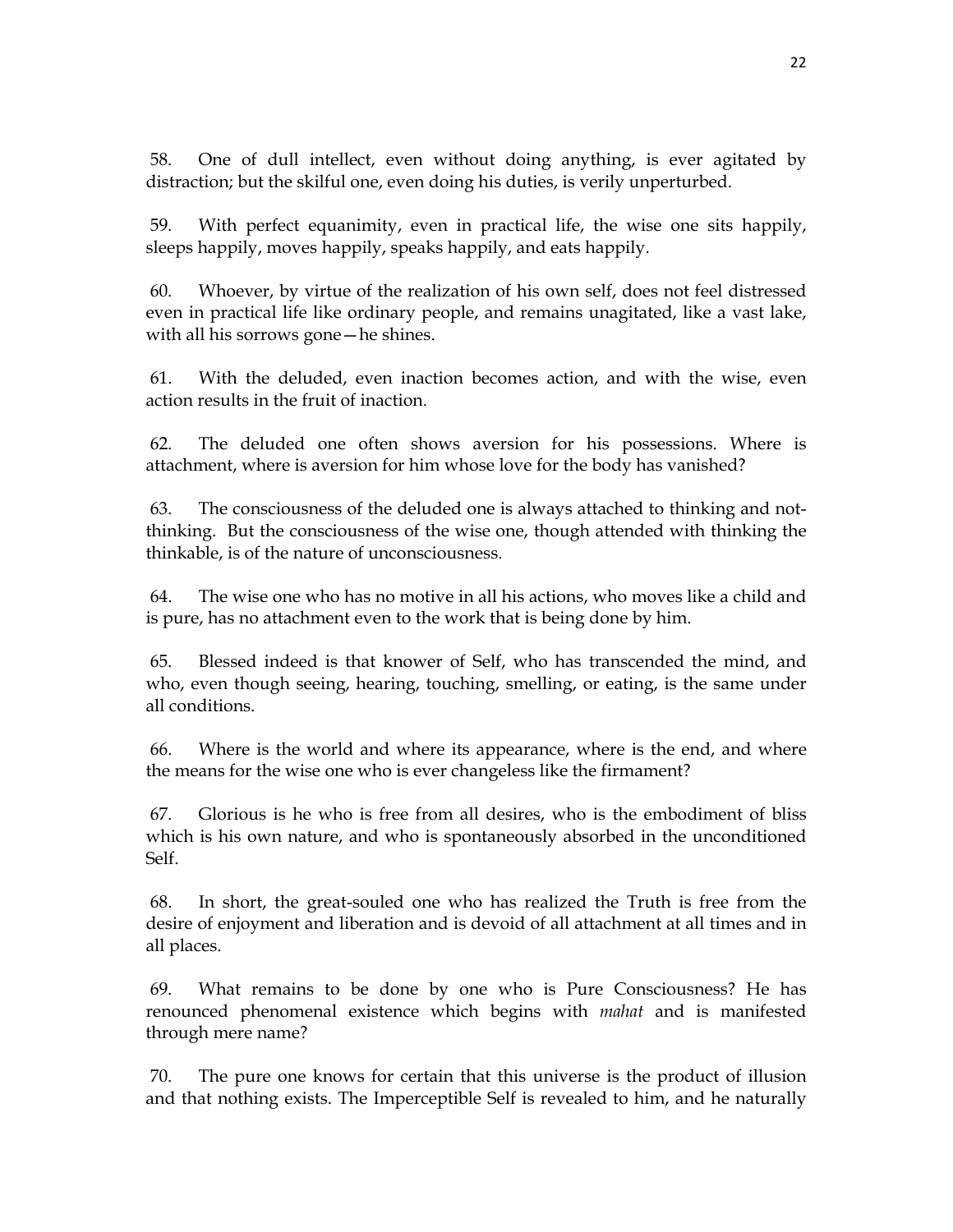58. One of dull intellect, even without doing anything, is ever agitated by distraction; but the skilful one, even doing his duties, is verily unperturbed.

 59. With perfect equanimity, even in practical life, the wise one sits happily, sleeps happily, moves happily, speaks happily, and eats happily.

 60. Whoever, by virtue of the realization of his own self, does not feel distressed even in practical life like ordinary people, and remains unagitated, like a vast lake, with all his sorrows gone—he shines.

 61. With the deluded, even inaction becomes action, and with the wise, even action results in the fruit of inaction.

 62. The deluded one often shows aversion for his possessions. Where is attachment, where is aversion for him whose love for the body has vanished?

 63. The consciousness of the deluded one is always attached to thinking and notthinking. But the consciousness of the wise one, though attended with thinking the thinkable, is of the nature of unconsciousness.

 64. The wise one who has no motive in all his actions, who moves like a child and is pure, has no attachment even to the work that is being done by him.

 65. Blessed indeed is that knower of Self, who has transcended the mind, and who, even though seeing, hearing, touching, smelling, or eating, is the same under all conditions.

 66. Where is the world and where its appearance, where is the end, and where the means for the wise one who is ever changeless like the firmament?

 67. Glorious is he who is free from all desires, who is the embodiment of bliss which is his own nature, and who is spontaneously absorbed in the unconditioned Self.

 68. In short, the great-souled one who has realized the Truth is free from the desire of enjoyment and liberation and is devoid of all attachment at all times and in all places.

 69. What remains to be done by one who is Pure Consciousness? He has renounced phenomenal existence which begins with *mahat* and is manifested through mere name?

 70. The pure one knows for certain that this universe is the product of illusion and that nothing exists. The Imperceptible Self is revealed to him, and he naturally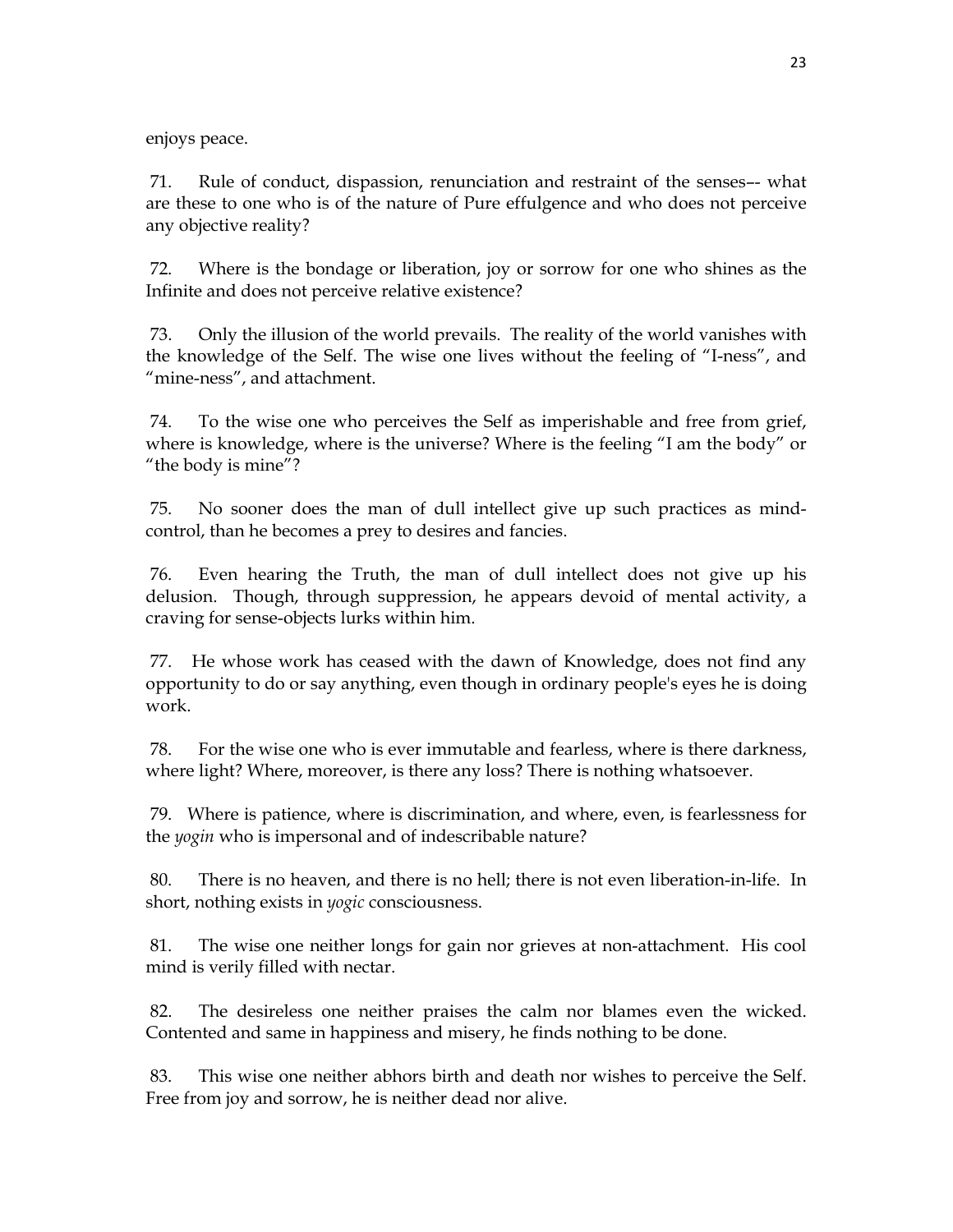enjoys peace.

 71. Rule of conduct, dispassion, renunciation and restraint of the senses–- what are these to one who is of the nature of Pure effulgence and who does not perceive any objective reality?

 72. Where is the bondage or liberation, joy or sorrow for one who shines as the Infinite and does not perceive relative existence?

 73. Only the illusion of the world prevails. The reality of the world vanishes with the knowledge of the Self. The wise one lives without the feeling of "I-ness", and "mine-ness", and attachment.

 74. To the wise one who perceives the Self as imperishable and free from grief, where is knowledge, where is the universe? Where is the feeling "I am the body" or "the body is mine"?

 75. No sooner does the man of dull intellect give up such practices as mindcontrol, than he becomes a prey to desires and fancies.

 76. Even hearing the Truth, the man of dull intellect does not give up his delusion. Though, through suppression, he appears devoid of mental activity, a craving for sense-objects lurks within him.

 77. He whose work has ceased with the dawn of Knowledge, does not find any opportunity to do or say anything, even though in ordinary people's eyes he is doing work.

 78. For the wise one who is ever immutable and fearless, where is there darkness, where light? Where, moreover, is there any loss? There is nothing whatsoever.

 79. Where is patience, where is discrimination, and where, even, is fearlessness for the *yogin* who is impersonal and of indescribable nature?

 80. There is no heaven, and there is no hell; there is not even liberation-in-life. In short, nothing exists in *yogic* consciousness.

 81. The wise one neither longs for gain nor grieves at non-attachment. His cool mind is verily filled with nectar.

 82. The desireless one neither praises the calm nor blames even the wicked. Contented and same in happiness and misery, he finds nothing to be done.

 83. This wise one neither abhors birth and death nor wishes to perceive the Self. Free from joy and sorrow, he is neither dead nor alive.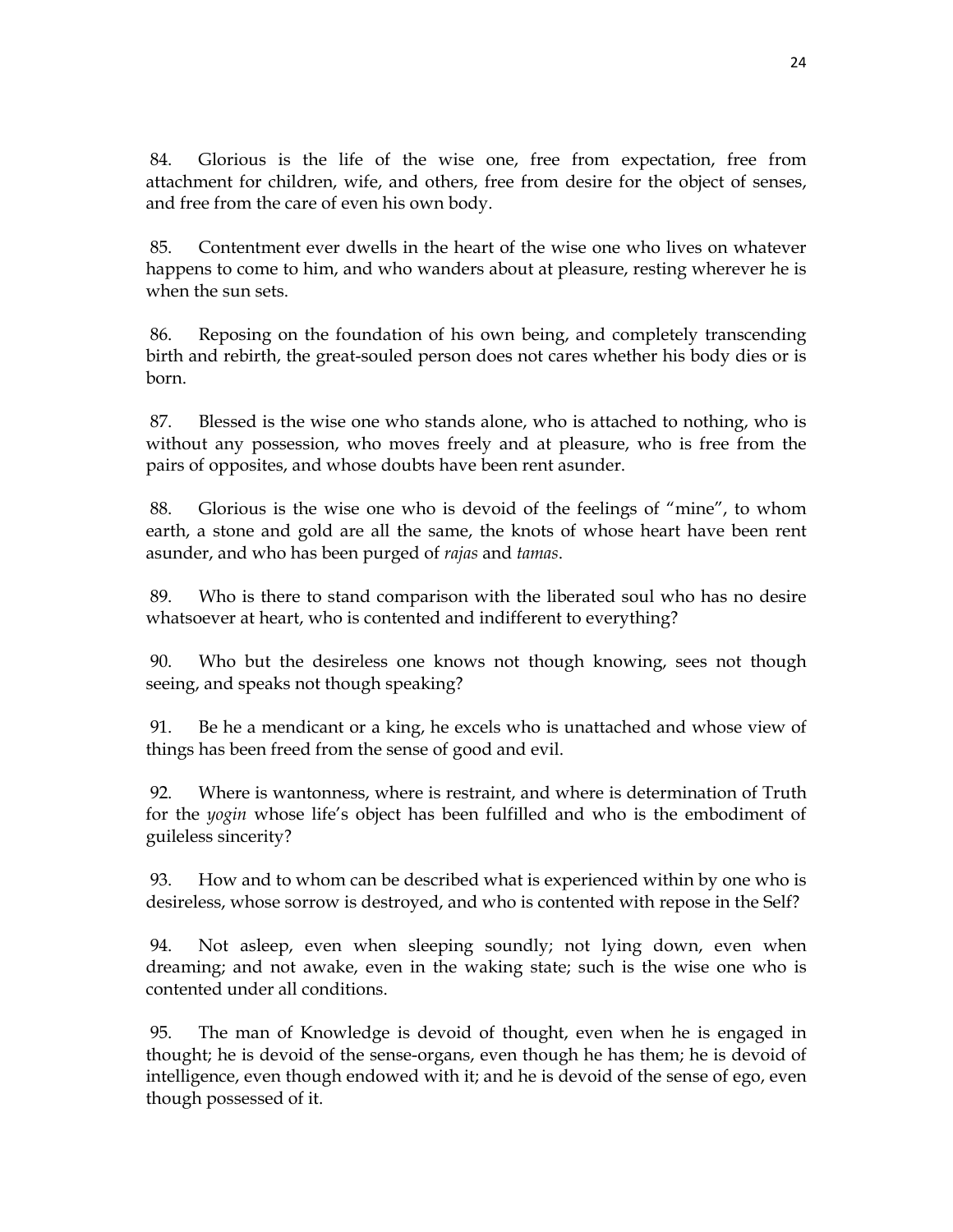84. Glorious is the life of the wise one, free from expectation, free from attachment for children, wife, and others, free from desire for the object of senses, and free from the care of even his own body.

 85. Contentment ever dwells in the heart of the wise one who lives on whatever happens to come to him, and who wanders about at pleasure, resting wherever he is when the sun sets.

 86. Reposing on the foundation of his own being, and completely transcending birth and rebirth, the great-souled person does not cares whether his body dies or is born.

 87. Blessed is the wise one who stands alone, who is attached to nothing, who is without any possession, who moves freely and at pleasure, who is free from the pairs of opposites, and whose doubts have been rent asunder.

 88. Glorious is the wise one who is devoid of the feelings of "mine", to whom earth, a stone and gold are all the same, the knots of whose heart have been rent asunder, and who has been purged of *rajas* and *tamas*.

 89. Who is there to stand comparison with the liberated soul who has no desire whatsoever at heart, who is contented and indifferent to everything?

 90. Who but the desireless one knows not though knowing, sees not though seeing, and speaks not though speaking?

 91. Be he a mendicant or a king, he excels who is unattached and whose view of things has been freed from the sense of good and evil.

 92. Where is wantonness, where is restraint, and where is determination of Truth for the *yogin* whose life's object has been fulfilled and who is the embodiment of guileless sincerity?

 93. How and to whom can be described what is experienced within by one who is desireless, whose sorrow is destroyed, and who is contented with repose in the Self?

 94. Not asleep, even when sleeping soundly; not lying down, even when dreaming; and not awake, even in the waking state; such is the wise one who is contented under all conditions.

 95. The man of Knowledge is devoid of thought, even when he is engaged in thought; he is devoid of the sense-organs, even though he has them; he is devoid of intelligence, even though endowed with it; and he is devoid of the sense of ego, even though possessed of it.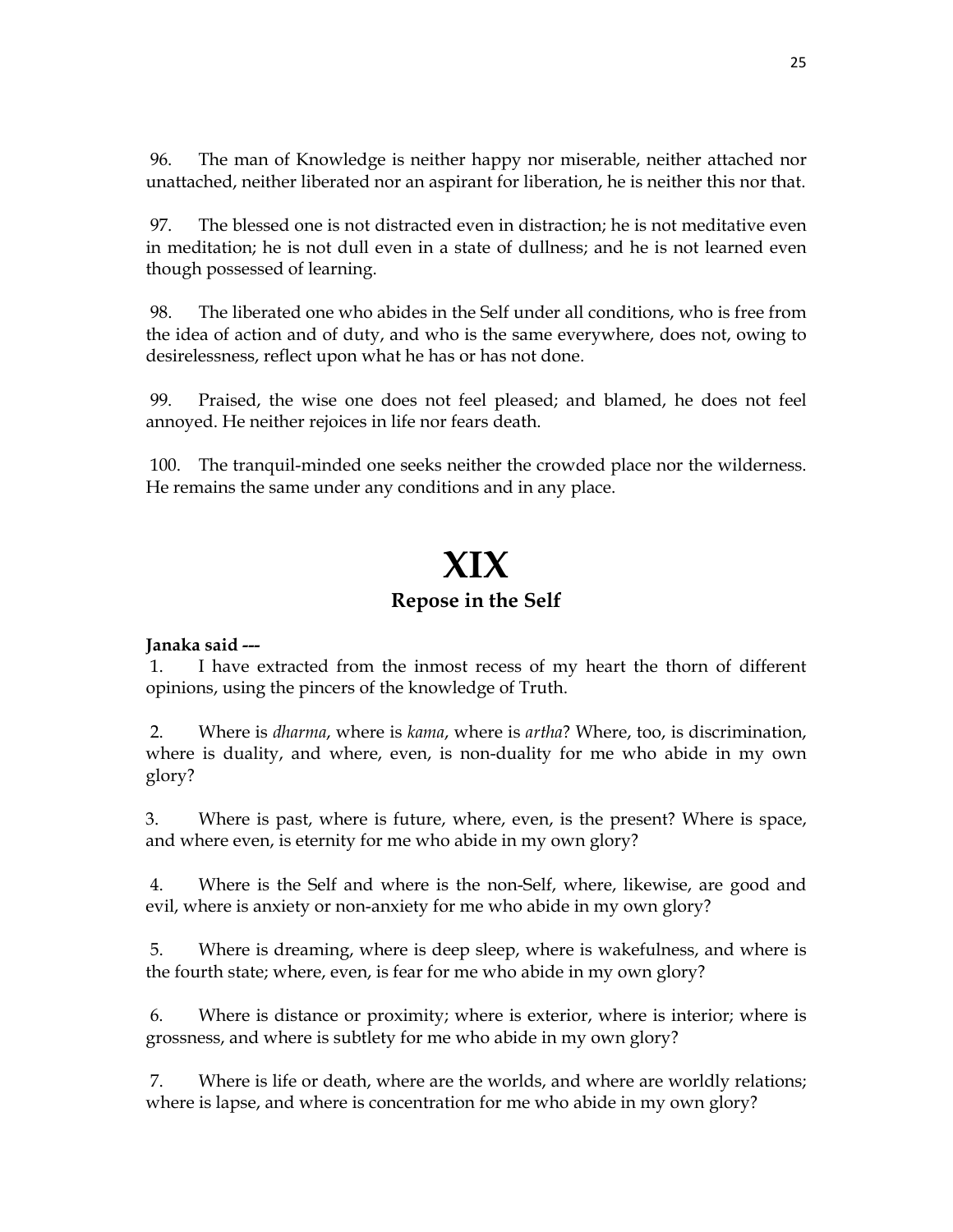96. The man of Knowledge is neither happy nor miserable, neither attached nor unattached, neither liberated nor an aspirant for liberation, he is neither this nor that.

 97. The blessed one is not distracted even in distraction; he is not meditative even in meditation; he is not dull even in a state of dullness; and he is not learned even though possessed of learning.

 98. The liberated one who abides in the Self under all conditions, who is free from the idea of action and of duty, and who is the same everywhere, does not, owing to desirelessness, reflect upon what he has or has not done.

 99. Praised, the wise one does not feel pleased; and blamed, he does not feel annoyed. He neither rejoices in life nor fears death.

 100. The tranquil-minded one seeks neither the crowded place nor the wilderness. He remains the same under any conditions and in any place.

# **XIX**

### **Repose in the Self**

### **Janaka said ---**

 1. I have extracted from the inmost recess of my heart the thorn of different opinions, using the pincers of the knowledge of Truth.

 2. Where is *dharma*, where is *kama*, where is *artha*? Where, too, is discrimination, where is duality, and where, even, is non-duality for me who abide in my own glory?

3. Where is past, where is future, where, even, is the present? Where is space, and where even, is eternity for me who abide in my own glory?

 4. Where is the Self and where is the non-Self, where, likewise, are good and evil, where is anxiety or non-anxiety for me who abide in my own glory?

 5. Where is dreaming, where is deep sleep, where is wakefulness, and where is the fourth state; where, even, is fear for me who abide in my own glory?

 6. Where is distance or proximity; where is exterior, where is interior; where is grossness, and where is subtlety for me who abide in my own glory?

 7. Where is life or death, where are the worlds, and where are worldly relations; where is lapse, and where is concentration for me who abide in my own glory?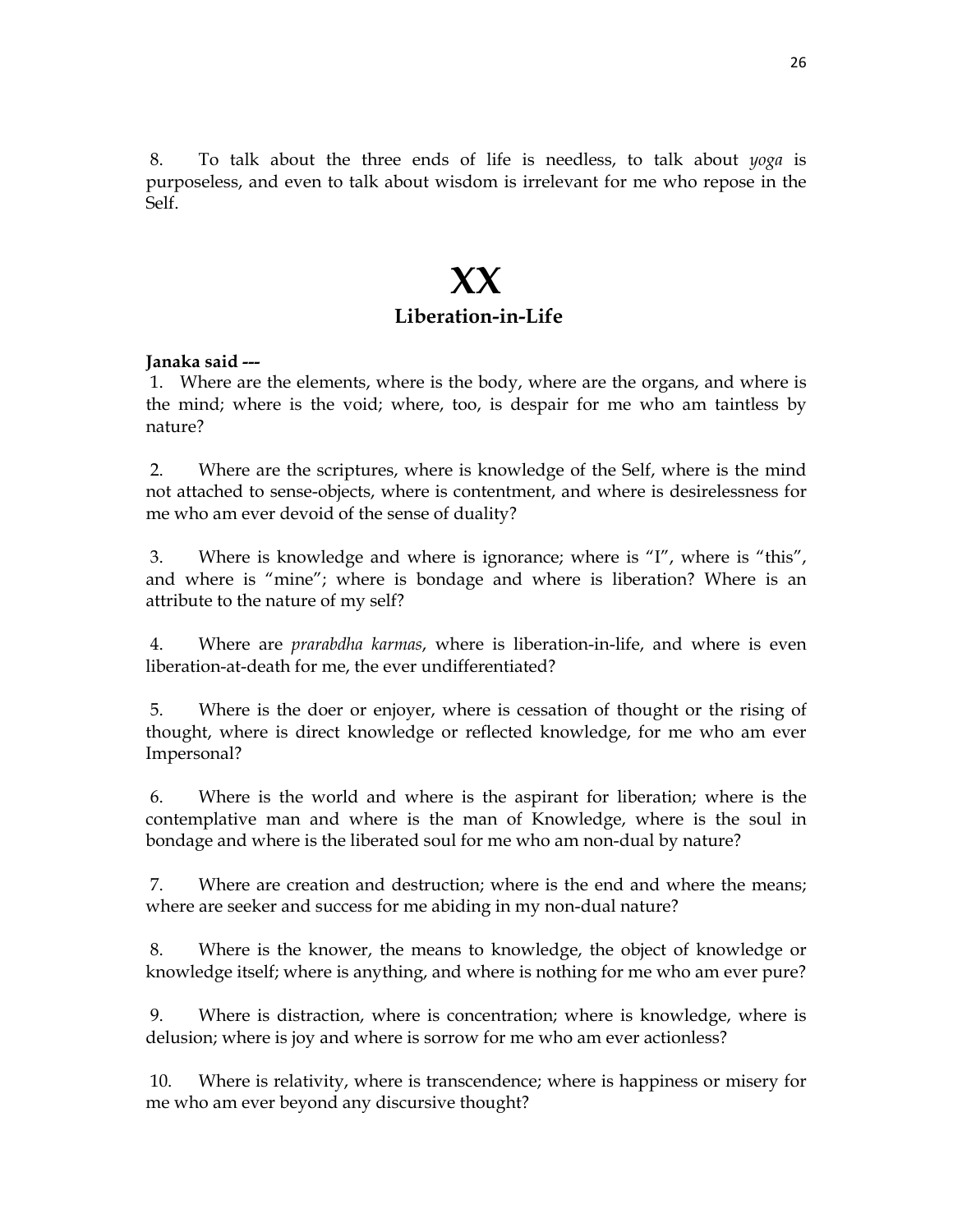8. To talk about the three ends of life is needless, to talk about *yoga* is purposeless, and even to talk about wisdom is irrelevant for me who repose in the Self.

### **XX Liberation-in-Life**

#### **Janaka said ---**

 1. Where are the elements, where is the body, where are the organs, and where is the mind; where is the void; where, too, is despair for me who am taintless by nature?

 2. Where are the scriptures, where is knowledge of the Self, where is the mind not attached to sense-objects, where is contentment, and where is desirelessness for me who am ever devoid of the sense of duality?

 3. Where is knowledge and where is ignorance; where is "I", where is "this", and where is "mine"; where is bondage and where is liberation? Where is an attribute to the nature of my self?

 4. Where are *prarabdha karmas*, where is liberation-in-life, and where is even liberation-at-death for me, the ever undifferentiated?

 5. Where is the doer or enjoyer, where is cessation of thought or the rising of thought, where is direct knowledge or reflected knowledge, for me who am ever Impersonal?

 6. Where is the world and where is the aspirant for liberation; where is the contemplative man and where is the man of Knowledge, where is the soul in bondage and where is the liberated soul for me who am non-dual by nature?

 7. Where are creation and destruction; where is the end and where the means; where are seeker and success for me abiding in my non-dual nature?

 8. Where is the knower, the means to knowledge, the object of knowledge or knowledge itself; where is anything, and where is nothing for me who am ever pure?

 9. Where is distraction, where is concentration; where is knowledge, where is delusion; where is joy and where is sorrow for me who am ever actionless?

 10. Where is relativity, where is transcendence; where is happiness or misery for me who am ever beyond any discursive thought?